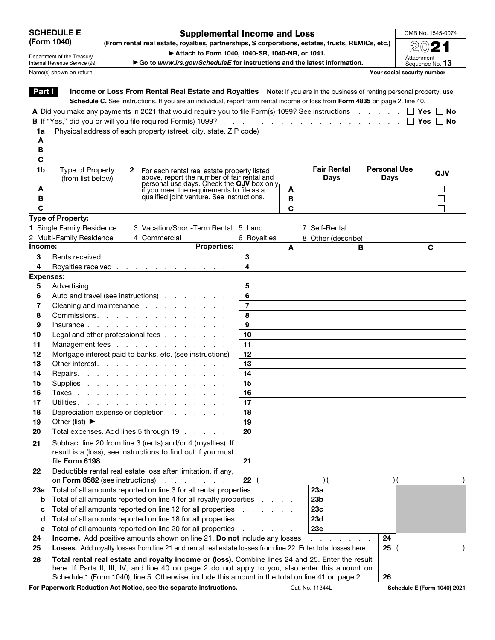| <b>SCHEDULE E</b> |  |
|-------------------|--|
| (Form 1040)       |  |

#### Supplemental Income and Loss (From rental real estate, royalties, partnerships, S corporations, estates, trusts, REMICs, etc.)

OMB No. 1545-0074

Department of the Treasury Internal Revenue Service (99) Name(s) shown on return **Your social security number Your social security number** 

▶ Attach to Form 1040, 1040-SR, 1040-NR, or 1041.

▶ Go to *www.irs.gov/ScheduleE* for instructions and the latest information.

| Attachment<br>Sequence No. 13 |  |
|-------------------------------|--|
|                               |  |

20

| Income or Loss From Rental Real Estate and Royalties Note: If you are in the business of renting personal property, use<br>Part I<br>Schedule C. See instructions. If you are an individual, report farm rental income or loss from Form 4835 on page 2, line 40.<br>A Did you make any payments in 2021 that would require you to file Form(s) 1099? See instructions $\ldots$ $\ldots$ $\Box$ Yes $\Box$ No<br>No<br>Physical address of each property (street, city, state, ZIP code)<br>1a<br>A<br>В<br>C<br><b>Personal Use</b><br><b>Fair Rental</b><br>Type of Property<br>1b<br>2<br>For each rental real estate property listed<br>QJV<br>above, report the number of fair rental and<br>(from list below)<br>Days<br><b>Days</b><br>personal use days. Check the QJV box only<br>A<br>if you meet the requirements to file as a<br>A<br>qualified joint venture. See instructions.<br>В<br>В<br>C<br>C<br>Type of Property:<br>1 Single Family Residence<br>3 Vacation/Short-Term Rental 5 Land<br>7 Self-Rental<br>2 Multi-Family Residence<br>4 Commercial<br>6 Royalties<br>8 Other (describe)<br><b>Properties:</b><br>Income:<br>C<br>A<br>в<br>3<br>3<br>Rents received<br>4<br>4<br>Royalties received <u>.</u><br><b>Expenses:</b><br>Advertising<br>5<br>5<br>Auto and travel (see instructions)<br>6<br>6<br>$\overline{7}$<br>7<br>Cleaning and maintenance<br>8<br>Commissions.<br>8<br>9<br>9<br>Insurance<br>10<br>Legal and other professional fees<br>10<br>Management fees<br>11<br>11<br>Mortgage interest paid to banks, etc. (see instructions)<br>12<br>12<br>Other interest.<br>13<br>13<br>Repairs.<br>14<br>14<br>15<br>15<br>Supplies<br>Taxes<br>16<br>16<br>17<br>Utilities.<br>17<br>Depreciation expense or depletion<br>18<br>18<br>Other (list) $\blacktriangleright$<br>19<br>19<br>20<br>Total expenses. Add lines 5 through 19<br>20<br>Subtract line 20 from line 3 (rents) and/or 4 (royalties). If<br>21<br>result is a (loss), see instructions to find out if you must<br>file Form 6198<br>21<br>Deductible rental real estate loss after limitation, if any,<br>22<br>on Form 8582 (see instructions)<br>22<br>and a state of the state of<br>Total of all amounts reported on line 3 for all rental properties<br>23a<br>23а<br>Total of all amounts reported on line 4 for all royalty properties<br>23 <sub>b</sub><br>b<br>$\sim$<br>$\mathbf{r} = \mathbf{r}$<br><b>College</b><br>Total of all amounts reported on line 12 for all properties<br>23c<br>с<br>Total of all amounts reported on line 18 for all properties<br><b>23d</b><br>d<br>Total of all amounts reported on line 20 for all properties<br>23e<br>е<br>24<br><b>Income.</b> Add positive amounts shown on line 21. Do not include any losses<br>24<br>Losses. Add royalty losses from line 21 and rental real estate losses from line 22. Enter total losses here.<br>25<br>25<br>Total rental real estate and royalty income or (loss). Combine lines 24 and 25. Enter the result<br>26<br>here. If Parts II, III, IV, and line 40 on page 2 do not apply to you, also enter this amount on<br>Schedule 1 (Form 1040), line 5. Otherwise, include this amount in the total on line 41 on page 2<br>26<br>For Paperwork Reduction Act Notice, see the separate instructions.<br>Cat. No. 11344L<br>Schedule E (Form 1040) 2021 |  |  |  |  |  |  |  |  |  |
|------------------------------------------------------------------------------------------------------------------------------------------------------------------------------------------------------------------------------------------------------------------------------------------------------------------------------------------------------------------------------------------------------------------------------------------------------------------------------------------------------------------------------------------------------------------------------------------------------------------------------------------------------------------------------------------------------------------------------------------------------------------------------------------------------------------------------------------------------------------------------------------------------------------------------------------------------------------------------------------------------------------------------------------------------------------------------------------------------------------------------------------------------------------------------------------------------------------------------------------------------------------------------------------------------------------------------------------------------------------------------------------------------------------------------------------------------------------------------------------------------------------------------------------------------------------------------------------------------------------------------------------------------------------------------------------------------------------------------------------------------------------------------------------------------------------------------------------------------------------------------------------------------------------------------------------------------------------------------------------------------------------------------------------------------------------------------------------------------------------------------------------------------------------------------------------------------------------------------------------------------------------------------------------------------------------------------------------------------------------------------------------------------------------------------------------------------------------------------------------------------------------------------------------------------------------------------------------------------------------------------------------------------------------------------------------------------------------------------------------------------------------------------------------------------------------------------------------------------------------------------------------------------------------------------------------------------------------------------------------------------------------------------------------------------------------------------------------------------------------------------------------------------------------------------------------------------------------------------------------------------------------------------------------------------------------------------------------------------------|--|--|--|--|--|--|--|--|--|
|                                                                                                                                                                                                                                                                                                                                                                                                                                                                                                                                                                                                                                                                                                                                                                                                                                                                                                                                                                                                                                                                                                                                                                                                                                                                                                                                                                                                                                                                                                                                                                                                                                                                                                                                                                                                                                                                                                                                                                                                                                                                                                                                                                                                                                                                                                                                                                                                                                                                                                                                                                                                                                                                                                                                                                                                                                                                                                                                                                                                                                                                                                                                                                                                                                                                                                                                                            |  |  |  |  |  |  |  |  |  |
|                                                                                                                                                                                                                                                                                                                                                                                                                                                                                                                                                                                                                                                                                                                                                                                                                                                                                                                                                                                                                                                                                                                                                                                                                                                                                                                                                                                                                                                                                                                                                                                                                                                                                                                                                                                                                                                                                                                                                                                                                                                                                                                                                                                                                                                                                                                                                                                                                                                                                                                                                                                                                                                                                                                                                                                                                                                                                                                                                                                                                                                                                                                                                                                                                                                                                                                                                            |  |  |  |  |  |  |  |  |  |
|                                                                                                                                                                                                                                                                                                                                                                                                                                                                                                                                                                                                                                                                                                                                                                                                                                                                                                                                                                                                                                                                                                                                                                                                                                                                                                                                                                                                                                                                                                                                                                                                                                                                                                                                                                                                                                                                                                                                                                                                                                                                                                                                                                                                                                                                                                                                                                                                                                                                                                                                                                                                                                                                                                                                                                                                                                                                                                                                                                                                                                                                                                                                                                                                                                                                                                                                                            |  |  |  |  |  |  |  |  |  |
|                                                                                                                                                                                                                                                                                                                                                                                                                                                                                                                                                                                                                                                                                                                                                                                                                                                                                                                                                                                                                                                                                                                                                                                                                                                                                                                                                                                                                                                                                                                                                                                                                                                                                                                                                                                                                                                                                                                                                                                                                                                                                                                                                                                                                                                                                                                                                                                                                                                                                                                                                                                                                                                                                                                                                                                                                                                                                                                                                                                                                                                                                                                                                                                                                                                                                                                                                            |  |  |  |  |  |  |  |  |  |
|                                                                                                                                                                                                                                                                                                                                                                                                                                                                                                                                                                                                                                                                                                                                                                                                                                                                                                                                                                                                                                                                                                                                                                                                                                                                                                                                                                                                                                                                                                                                                                                                                                                                                                                                                                                                                                                                                                                                                                                                                                                                                                                                                                                                                                                                                                                                                                                                                                                                                                                                                                                                                                                                                                                                                                                                                                                                                                                                                                                                                                                                                                                                                                                                                                                                                                                                                            |  |  |  |  |  |  |  |  |  |
|                                                                                                                                                                                                                                                                                                                                                                                                                                                                                                                                                                                                                                                                                                                                                                                                                                                                                                                                                                                                                                                                                                                                                                                                                                                                                                                                                                                                                                                                                                                                                                                                                                                                                                                                                                                                                                                                                                                                                                                                                                                                                                                                                                                                                                                                                                                                                                                                                                                                                                                                                                                                                                                                                                                                                                                                                                                                                                                                                                                                                                                                                                                                                                                                                                                                                                                                                            |  |  |  |  |  |  |  |  |  |
|                                                                                                                                                                                                                                                                                                                                                                                                                                                                                                                                                                                                                                                                                                                                                                                                                                                                                                                                                                                                                                                                                                                                                                                                                                                                                                                                                                                                                                                                                                                                                                                                                                                                                                                                                                                                                                                                                                                                                                                                                                                                                                                                                                                                                                                                                                                                                                                                                                                                                                                                                                                                                                                                                                                                                                                                                                                                                                                                                                                                                                                                                                                                                                                                                                                                                                                                                            |  |  |  |  |  |  |  |  |  |
|                                                                                                                                                                                                                                                                                                                                                                                                                                                                                                                                                                                                                                                                                                                                                                                                                                                                                                                                                                                                                                                                                                                                                                                                                                                                                                                                                                                                                                                                                                                                                                                                                                                                                                                                                                                                                                                                                                                                                                                                                                                                                                                                                                                                                                                                                                                                                                                                                                                                                                                                                                                                                                                                                                                                                                                                                                                                                                                                                                                                                                                                                                                                                                                                                                                                                                                                                            |  |  |  |  |  |  |  |  |  |
|                                                                                                                                                                                                                                                                                                                                                                                                                                                                                                                                                                                                                                                                                                                                                                                                                                                                                                                                                                                                                                                                                                                                                                                                                                                                                                                                                                                                                                                                                                                                                                                                                                                                                                                                                                                                                                                                                                                                                                                                                                                                                                                                                                                                                                                                                                                                                                                                                                                                                                                                                                                                                                                                                                                                                                                                                                                                                                                                                                                                                                                                                                                                                                                                                                                                                                                                                            |  |  |  |  |  |  |  |  |  |
|                                                                                                                                                                                                                                                                                                                                                                                                                                                                                                                                                                                                                                                                                                                                                                                                                                                                                                                                                                                                                                                                                                                                                                                                                                                                                                                                                                                                                                                                                                                                                                                                                                                                                                                                                                                                                                                                                                                                                                                                                                                                                                                                                                                                                                                                                                                                                                                                                                                                                                                                                                                                                                                                                                                                                                                                                                                                                                                                                                                                                                                                                                                                                                                                                                                                                                                                                            |  |  |  |  |  |  |  |  |  |
|                                                                                                                                                                                                                                                                                                                                                                                                                                                                                                                                                                                                                                                                                                                                                                                                                                                                                                                                                                                                                                                                                                                                                                                                                                                                                                                                                                                                                                                                                                                                                                                                                                                                                                                                                                                                                                                                                                                                                                                                                                                                                                                                                                                                                                                                                                                                                                                                                                                                                                                                                                                                                                                                                                                                                                                                                                                                                                                                                                                                                                                                                                                                                                                                                                                                                                                                                            |  |  |  |  |  |  |  |  |  |
|                                                                                                                                                                                                                                                                                                                                                                                                                                                                                                                                                                                                                                                                                                                                                                                                                                                                                                                                                                                                                                                                                                                                                                                                                                                                                                                                                                                                                                                                                                                                                                                                                                                                                                                                                                                                                                                                                                                                                                                                                                                                                                                                                                                                                                                                                                                                                                                                                                                                                                                                                                                                                                                                                                                                                                                                                                                                                                                                                                                                                                                                                                                                                                                                                                                                                                                                                            |  |  |  |  |  |  |  |  |  |
|                                                                                                                                                                                                                                                                                                                                                                                                                                                                                                                                                                                                                                                                                                                                                                                                                                                                                                                                                                                                                                                                                                                                                                                                                                                                                                                                                                                                                                                                                                                                                                                                                                                                                                                                                                                                                                                                                                                                                                                                                                                                                                                                                                                                                                                                                                                                                                                                                                                                                                                                                                                                                                                                                                                                                                                                                                                                                                                                                                                                                                                                                                                                                                                                                                                                                                                                                            |  |  |  |  |  |  |  |  |  |
|                                                                                                                                                                                                                                                                                                                                                                                                                                                                                                                                                                                                                                                                                                                                                                                                                                                                                                                                                                                                                                                                                                                                                                                                                                                                                                                                                                                                                                                                                                                                                                                                                                                                                                                                                                                                                                                                                                                                                                                                                                                                                                                                                                                                                                                                                                                                                                                                                                                                                                                                                                                                                                                                                                                                                                                                                                                                                                                                                                                                                                                                                                                                                                                                                                                                                                                                                            |  |  |  |  |  |  |  |  |  |
|                                                                                                                                                                                                                                                                                                                                                                                                                                                                                                                                                                                                                                                                                                                                                                                                                                                                                                                                                                                                                                                                                                                                                                                                                                                                                                                                                                                                                                                                                                                                                                                                                                                                                                                                                                                                                                                                                                                                                                                                                                                                                                                                                                                                                                                                                                                                                                                                                                                                                                                                                                                                                                                                                                                                                                                                                                                                                                                                                                                                                                                                                                                                                                                                                                                                                                                                                            |  |  |  |  |  |  |  |  |  |
|                                                                                                                                                                                                                                                                                                                                                                                                                                                                                                                                                                                                                                                                                                                                                                                                                                                                                                                                                                                                                                                                                                                                                                                                                                                                                                                                                                                                                                                                                                                                                                                                                                                                                                                                                                                                                                                                                                                                                                                                                                                                                                                                                                                                                                                                                                                                                                                                                                                                                                                                                                                                                                                                                                                                                                                                                                                                                                                                                                                                                                                                                                                                                                                                                                                                                                                                                            |  |  |  |  |  |  |  |  |  |
|                                                                                                                                                                                                                                                                                                                                                                                                                                                                                                                                                                                                                                                                                                                                                                                                                                                                                                                                                                                                                                                                                                                                                                                                                                                                                                                                                                                                                                                                                                                                                                                                                                                                                                                                                                                                                                                                                                                                                                                                                                                                                                                                                                                                                                                                                                                                                                                                                                                                                                                                                                                                                                                                                                                                                                                                                                                                                                                                                                                                                                                                                                                                                                                                                                                                                                                                                            |  |  |  |  |  |  |  |  |  |
|                                                                                                                                                                                                                                                                                                                                                                                                                                                                                                                                                                                                                                                                                                                                                                                                                                                                                                                                                                                                                                                                                                                                                                                                                                                                                                                                                                                                                                                                                                                                                                                                                                                                                                                                                                                                                                                                                                                                                                                                                                                                                                                                                                                                                                                                                                                                                                                                                                                                                                                                                                                                                                                                                                                                                                                                                                                                                                                                                                                                                                                                                                                                                                                                                                                                                                                                                            |  |  |  |  |  |  |  |  |  |
|                                                                                                                                                                                                                                                                                                                                                                                                                                                                                                                                                                                                                                                                                                                                                                                                                                                                                                                                                                                                                                                                                                                                                                                                                                                                                                                                                                                                                                                                                                                                                                                                                                                                                                                                                                                                                                                                                                                                                                                                                                                                                                                                                                                                                                                                                                                                                                                                                                                                                                                                                                                                                                                                                                                                                                                                                                                                                                                                                                                                                                                                                                                                                                                                                                                                                                                                                            |  |  |  |  |  |  |  |  |  |
|                                                                                                                                                                                                                                                                                                                                                                                                                                                                                                                                                                                                                                                                                                                                                                                                                                                                                                                                                                                                                                                                                                                                                                                                                                                                                                                                                                                                                                                                                                                                                                                                                                                                                                                                                                                                                                                                                                                                                                                                                                                                                                                                                                                                                                                                                                                                                                                                                                                                                                                                                                                                                                                                                                                                                                                                                                                                                                                                                                                                                                                                                                                                                                                                                                                                                                                                                            |  |  |  |  |  |  |  |  |  |
|                                                                                                                                                                                                                                                                                                                                                                                                                                                                                                                                                                                                                                                                                                                                                                                                                                                                                                                                                                                                                                                                                                                                                                                                                                                                                                                                                                                                                                                                                                                                                                                                                                                                                                                                                                                                                                                                                                                                                                                                                                                                                                                                                                                                                                                                                                                                                                                                                                                                                                                                                                                                                                                                                                                                                                                                                                                                                                                                                                                                                                                                                                                                                                                                                                                                                                                                                            |  |  |  |  |  |  |  |  |  |
|                                                                                                                                                                                                                                                                                                                                                                                                                                                                                                                                                                                                                                                                                                                                                                                                                                                                                                                                                                                                                                                                                                                                                                                                                                                                                                                                                                                                                                                                                                                                                                                                                                                                                                                                                                                                                                                                                                                                                                                                                                                                                                                                                                                                                                                                                                                                                                                                                                                                                                                                                                                                                                                                                                                                                                                                                                                                                                                                                                                                                                                                                                                                                                                                                                                                                                                                                            |  |  |  |  |  |  |  |  |  |
|                                                                                                                                                                                                                                                                                                                                                                                                                                                                                                                                                                                                                                                                                                                                                                                                                                                                                                                                                                                                                                                                                                                                                                                                                                                                                                                                                                                                                                                                                                                                                                                                                                                                                                                                                                                                                                                                                                                                                                                                                                                                                                                                                                                                                                                                                                                                                                                                                                                                                                                                                                                                                                                                                                                                                                                                                                                                                                                                                                                                                                                                                                                                                                                                                                                                                                                                                            |  |  |  |  |  |  |  |  |  |
|                                                                                                                                                                                                                                                                                                                                                                                                                                                                                                                                                                                                                                                                                                                                                                                                                                                                                                                                                                                                                                                                                                                                                                                                                                                                                                                                                                                                                                                                                                                                                                                                                                                                                                                                                                                                                                                                                                                                                                                                                                                                                                                                                                                                                                                                                                                                                                                                                                                                                                                                                                                                                                                                                                                                                                                                                                                                                                                                                                                                                                                                                                                                                                                                                                                                                                                                                            |  |  |  |  |  |  |  |  |  |
|                                                                                                                                                                                                                                                                                                                                                                                                                                                                                                                                                                                                                                                                                                                                                                                                                                                                                                                                                                                                                                                                                                                                                                                                                                                                                                                                                                                                                                                                                                                                                                                                                                                                                                                                                                                                                                                                                                                                                                                                                                                                                                                                                                                                                                                                                                                                                                                                                                                                                                                                                                                                                                                                                                                                                                                                                                                                                                                                                                                                                                                                                                                                                                                                                                                                                                                                                            |  |  |  |  |  |  |  |  |  |
|                                                                                                                                                                                                                                                                                                                                                                                                                                                                                                                                                                                                                                                                                                                                                                                                                                                                                                                                                                                                                                                                                                                                                                                                                                                                                                                                                                                                                                                                                                                                                                                                                                                                                                                                                                                                                                                                                                                                                                                                                                                                                                                                                                                                                                                                                                                                                                                                                                                                                                                                                                                                                                                                                                                                                                                                                                                                                                                                                                                                                                                                                                                                                                                                                                                                                                                                                            |  |  |  |  |  |  |  |  |  |
|                                                                                                                                                                                                                                                                                                                                                                                                                                                                                                                                                                                                                                                                                                                                                                                                                                                                                                                                                                                                                                                                                                                                                                                                                                                                                                                                                                                                                                                                                                                                                                                                                                                                                                                                                                                                                                                                                                                                                                                                                                                                                                                                                                                                                                                                                                                                                                                                                                                                                                                                                                                                                                                                                                                                                                                                                                                                                                                                                                                                                                                                                                                                                                                                                                                                                                                                                            |  |  |  |  |  |  |  |  |  |
|                                                                                                                                                                                                                                                                                                                                                                                                                                                                                                                                                                                                                                                                                                                                                                                                                                                                                                                                                                                                                                                                                                                                                                                                                                                                                                                                                                                                                                                                                                                                                                                                                                                                                                                                                                                                                                                                                                                                                                                                                                                                                                                                                                                                                                                                                                                                                                                                                                                                                                                                                                                                                                                                                                                                                                                                                                                                                                                                                                                                                                                                                                                                                                                                                                                                                                                                                            |  |  |  |  |  |  |  |  |  |
|                                                                                                                                                                                                                                                                                                                                                                                                                                                                                                                                                                                                                                                                                                                                                                                                                                                                                                                                                                                                                                                                                                                                                                                                                                                                                                                                                                                                                                                                                                                                                                                                                                                                                                                                                                                                                                                                                                                                                                                                                                                                                                                                                                                                                                                                                                                                                                                                                                                                                                                                                                                                                                                                                                                                                                                                                                                                                                                                                                                                                                                                                                                                                                                                                                                                                                                                                            |  |  |  |  |  |  |  |  |  |
|                                                                                                                                                                                                                                                                                                                                                                                                                                                                                                                                                                                                                                                                                                                                                                                                                                                                                                                                                                                                                                                                                                                                                                                                                                                                                                                                                                                                                                                                                                                                                                                                                                                                                                                                                                                                                                                                                                                                                                                                                                                                                                                                                                                                                                                                                                                                                                                                                                                                                                                                                                                                                                                                                                                                                                                                                                                                                                                                                                                                                                                                                                                                                                                                                                                                                                                                                            |  |  |  |  |  |  |  |  |  |
|                                                                                                                                                                                                                                                                                                                                                                                                                                                                                                                                                                                                                                                                                                                                                                                                                                                                                                                                                                                                                                                                                                                                                                                                                                                                                                                                                                                                                                                                                                                                                                                                                                                                                                                                                                                                                                                                                                                                                                                                                                                                                                                                                                                                                                                                                                                                                                                                                                                                                                                                                                                                                                                                                                                                                                                                                                                                                                                                                                                                                                                                                                                                                                                                                                                                                                                                                            |  |  |  |  |  |  |  |  |  |
|                                                                                                                                                                                                                                                                                                                                                                                                                                                                                                                                                                                                                                                                                                                                                                                                                                                                                                                                                                                                                                                                                                                                                                                                                                                                                                                                                                                                                                                                                                                                                                                                                                                                                                                                                                                                                                                                                                                                                                                                                                                                                                                                                                                                                                                                                                                                                                                                                                                                                                                                                                                                                                                                                                                                                                                                                                                                                                                                                                                                                                                                                                                                                                                                                                                                                                                                                            |  |  |  |  |  |  |  |  |  |
|                                                                                                                                                                                                                                                                                                                                                                                                                                                                                                                                                                                                                                                                                                                                                                                                                                                                                                                                                                                                                                                                                                                                                                                                                                                                                                                                                                                                                                                                                                                                                                                                                                                                                                                                                                                                                                                                                                                                                                                                                                                                                                                                                                                                                                                                                                                                                                                                                                                                                                                                                                                                                                                                                                                                                                                                                                                                                                                                                                                                                                                                                                                                                                                                                                                                                                                                                            |  |  |  |  |  |  |  |  |  |
|                                                                                                                                                                                                                                                                                                                                                                                                                                                                                                                                                                                                                                                                                                                                                                                                                                                                                                                                                                                                                                                                                                                                                                                                                                                                                                                                                                                                                                                                                                                                                                                                                                                                                                                                                                                                                                                                                                                                                                                                                                                                                                                                                                                                                                                                                                                                                                                                                                                                                                                                                                                                                                                                                                                                                                                                                                                                                                                                                                                                                                                                                                                                                                                                                                                                                                                                                            |  |  |  |  |  |  |  |  |  |
|                                                                                                                                                                                                                                                                                                                                                                                                                                                                                                                                                                                                                                                                                                                                                                                                                                                                                                                                                                                                                                                                                                                                                                                                                                                                                                                                                                                                                                                                                                                                                                                                                                                                                                                                                                                                                                                                                                                                                                                                                                                                                                                                                                                                                                                                                                                                                                                                                                                                                                                                                                                                                                                                                                                                                                                                                                                                                                                                                                                                                                                                                                                                                                                                                                                                                                                                                            |  |  |  |  |  |  |  |  |  |
|                                                                                                                                                                                                                                                                                                                                                                                                                                                                                                                                                                                                                                                                                                                                                                                                                                                                                                                                                                                                                                                                                                                                                                                                                                                                                                                                                                                                                                                                                                                                                                                                                                                                                                                                                                                                                                                                                                                                                                                                                                                                                                                                                                                                                                                                                                                                                                                                                                                                                                                                                                                                                                                                                                                                                                                                                                                                                                                                                                                                                                                                                                                                                                                                                                                                                                                                                            |  |  |  |  |  |  |  |  |  |
|                                                                                                                                                                                                                                                                                                                                                                                                                                                                                                                                                                                                                                                                                                                                                                                                                                                                                                                                                                                                                                                                                                                                                                                                                                                                                                                                                                                                                                                                                                                                                                                                                                                                                                                                                                                                                                                                                                                                                                                                                                                                                                                                                                                                                                                                                                                                                                                                                                                                                                                                                                                                                                                                                                                                                                                                                                                                                                                                                                                                                                                                                                                                                                                                                                                                                                                                                            |  |  |  |  |  |  |  |  |  |
|                                                                                                                                                                                                                                                                                                                                                                                                                                                                                                                                                                                                                                                                                                                                                                                                                                                                                                                                                                                                                                                                                                                                                                                                                                                                                                                                                                                                                                                                                                                                                                                                                                                                                                                                                                                                                                                                                                                                                                                                                                                                                                                                                                                                                                                                                                                                                                                                                                                                                                                                                                                                                                                                                                                                                                                                                                                                                                                                                                                                                                                                                                                                                                                                                                                                                                                                                            |  |  |  |  |  |  |  |  |  |
|                                                                                                                                                                                                                                                                                                                                                                                                                                                                                                                                                                                                                                                                                                                                                                                                                                                                                                                                                                                                                                                                                                                                                                                                                                                                                                                                                                                                                                                                                                                                                                                                                                                                                                                                                                                                                                                                                                                                                                                                                                                                                                                                                                                                                                                                                                                                                                                                                                                                                                                                                                                                                                                                                                                                                                                                                                                                                                                                                                                                                                                                                                                                                                                                                                                                                                                                                            |  |  |  |  |  |  |  |  |  |
|                                                                                                                                                                                                                                                                                                                                                                                                                                                                                                                                                                                                                                                                                                                                                                                                                                                                                                                                                                                                                                                                                                                                                                                                                                                                                                                                                                                                                                                                                                                                                                                                                                                                                                                                                                                                                                                                                                                                                                                                                                                                                                                                                                                                                                                                                                                                                                                                                                                                                                                                                                                                                                                                                                                                                                                                                                                                                                                                                                                                                                                                                                                                                                                                                                                                                                                                                            |  |  |  |  |  |  |  |  |  |
|                                                                                                                                                                                                                                                                                                                                                                                                                                                                                                                                                                                                                                                                                                                                                                                                                                                                                                                                                                                                                                                                                                                                                                                                                                                                                                                                                                                                                                                                                                                                                                                                                                                                                                                                                                                                                                                                                                                                                                                                                                                                                                                                                                                                                                                                                                                                                                                                                                                                                                                                                                                                                                                                                                                                                                                                                                                                                                                                                                                                                                                                                                                                                                                                                                                                                                                                                            |  |  |  |  |  |  |  |  |  |
|                                                                                                                                                                                                                                                                                                                                                                                                                                                                                                                                                                                                                                                                                                                                                                                                                                                                                                                                                                                                                                                                                                                                                                                                                                                                                                                                                                                                                                                                                                                                                                                                                                                                                                                                                                                                                                                                                                                                                                                                                                                                                                                                                                                                                                                                                                                                                                                                                                                                                                                                                                                                                                                                                                                                                                                                                                                                                                                                                                                                                                                                                                                                                                                                                                                                                                                                                            |  |  |  |  |  |  |  |  |  |
|                                                                                                                                                                                                                                                                                                                                                                                                                                                                                                                                                                                                                                                                                                                                                                                                                                                                                                                                                                                                                                                                                                                                                                                                                                                                                                                                                                                                                                                                                                                                                                                                                                                                                                                                                                                                                                                                                                                                                                                                                                                                                                                                                                                                                                                                                                                                                                                                                                                                                                                                                                                                                                                                                                                                                                                                                                                                                                                                                                                                                                                                                                                                                                                                                                                                                                                                                            |  |  |  |  |  |  |  |  |  |
|                                                                                                                                                                                                                                                                                                                                                                                                                                                                                                                                                                                                                                                                                                                                                                                                                                                                                                                                                                                                                                                                                                                                                                                                                                                                                                                                                                                                                                                                                                                                                                                                                                                                                                                                                                                                                                                                                                                                                                                                                                                                                                                                                                                                                                                                                                                                                                                                                                                                                                                                                                                                                                                                                                                                                                                                                                                                                                                                                                                                                                                                                                                                                                                                                                                                                                                                                            |  |  |  |  |  |  |  |  |  |
|                                                                                                                                                                                                                                                                                                                                                                                                                                                                                                                                                                                                                                                                                                                                                                                                                                                                                                                                                                                                                                                                                                                                                                                                                                                                                                                                                                                                                                                                                                                                                                                                                                                                                                                                                                                                                                                                                                                                                                                                                                                                                                                                                                                                                                                                                                                                                                                                                                                                                                                                                                                                                                                                                                                                                                                                                                                                                                                                                                                                                                                                                                                                                                                                                                                                                                                                                            |  |  |  |  |  |  |  |  |  |
|                                                                                                                                                                                                                                                                                                                                                                                                                                                                                                                                                                                                                                                                                                                                                                                                                                                                                                                                                                                                                                                                                                                                                                                                                                                                                                                                                                                                                                                                                                                                                                                                                                                                                                                                                                                                                                                                                                                                                                                                                                                                                                                                                                                                                                                                                                                                                                                                                                                                                                                                                                                                                                                                                                                                                                                                                                                                                                                                                                                                                                                                                                                                                                                                                                                                                                                                                            |  |  |  |  |  |  |  |  |  |
|                                                                                                                                                                                                                                                                                                                                                                                                                                                                                                                                                                                                                                                                                                                                                                                                                                                                                                                                                                                                                                                                                                                                                                                                                                                                                                                                                                                                                                                                                                                                                                                                                                                                                                                                                                                                                                                                                                                                                                                                                                                                                                                                                                                                                                                                                                                                                                                                                                                                                                                                                                                                                                                                                                                                                                                                                                                                                                                                                                                                                                                                                                                                                                                                                                                                                                                                                            |  |  |  |  |  |  |  |  |  |
|                                                                                                                                                                                                                                                                                                                                                                                                                                                                                                                                                                                                                                                                                                                                                                                                                                                                                                                                                                                                                                                                                                                                                                                                                                                                                                                                                                                                                                                                                                                                                                                                                                                                                                                                                                                                                                                                                                                                                                                                                                                                                                                                                                                                                                                                                                                                                                                                                                                                                                                                                                                                                                                                                                                                                                                                                                                                                                                                                                                                                                                                                                                                                                                                                                                                                                                                                            |  |  |  |  |  |  |  |  |  |
|                                                                                                                                                                                                                                                                                                                                                                                                                                                                                                                                                                                                                                                                                                                                                                                                                                                                                                                                                                                                                                                                                                                                                                                                                                                                                                                                                                                                                                                                                                                                                                                                                                                                                                                                                                                                                                                                                                                                                                                                                                                                                                                                                                                                                                                                                                                                                                                                                                                                                                                                                                                                                                                                                                                                                                                                                                                                                                                                                                                                                                                                                                                                                                                                                                                                                                                                                            |  |  |  |  |  |  |  |  |  |
|                                                                                                                                                                                                                                                                                                                                                                                                                                                                                                                                                                                                                                                                                                                                                                                                                                                                                                                                                                                                                                                                                                                                                                                                                                                                                                                                                                                                                                                                                                                                                                                                                                                                                                                                                                                                                                                                                                                                                                                                                                                                                                                                                                                                                                                                                                                                                                                                                                                                                                                                                                                                                                                                                                                                                                                                                                                                                                                                                                                                                                                                                                                                                                                                                                                                                                                                                            |  |  |  |  |  |  |  |  |  |
|                                                                                                                                                                                                                                                                                                                                                                                                                                                                                                                                                                                                                                                                                                                                                                                                                                                                                                                                                                                                                                                                                                                                                                                                                                                                                                                                                                                                                                                                                                                                                                                                                                                                                                                                                                                                                                                                                                                                                                                                                                                                                                                                                                                                                                                                                                                                                                                                                                                                                                                                                                                                                                                                                                                                                                                                                                                                                                                                                                                                                                                                                                                                                                                                                                                                                                                                                            |  |  |  |  |  |  |  |  |  |
|                                                                                                                                                                                                                                                                                                                                                                                                                                                                                                                                                                                                                                                                                                                                                                                                                                                                                                                                                                                                                                                                                                                                                                                                                                                                                                                                                                                                                                                                                                                                                                                                                                                                                                                                                                                                                                                                                                                                                                                                                                                                                                                                                                                                                                                                                                                                                                                                                                                                                                                                                                                                                                                                                                                                                                                                                                                                                                                                                                                                                                                                                                                                                                                                                                                                                                                                                            |  |  |  |  |  |  |  |  |  |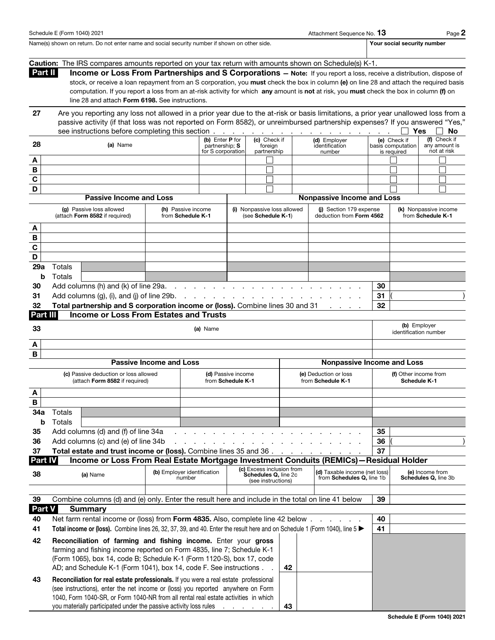|             |                                                                                                                                                                                                                    | Caution: The IRS compares amounts reported on your tax return with amounts shown on Schedule(s) K-1.                               |                                |                                         |  |                                                   |    |                 |                                                     |    |                       |                                            |    |
|-------------|--------------------------------------------------------------------------------------------------------------------------------------------------------------------------------------------------------------------|------------------------------------------------------------------------------------------------------------------------------------|--------------------------------|-----------------------------------------|--|---------------------------------------------------|----|-----------------|-----------------------------------------------------|----|-----------------------|--------------------------------------------|----|
|             | Part II<br>Income or Loss From Partnerships and S Corporations - Note: If you report a loss, receive a distribution, dispose of                                                                                    |                                                                                                                                    |                                |                                         |  |                                                   |    |                 |                                                     |    |                       |                                            |    |
|             | stock, or receive a loan repayment from an S corporation, you must check the box in column (e) on line 28 and attach the required basis                                                                            |                                                                                                                                    |                                |                                         |  |                                                   |    |                 |                                                     |    |                       |                                            |    |
|             | computation. If you report a loss from an at-risk activity for which any amount is not at risk, you must check the box in column (f) on<br>line 28 and attach Form 6198. See instructions.                         |                                                                                                                                    |                                |                                         |  |                                                   |    |                 |                                                     |    |                       |                                            |    |
|             |                                                                                                                                                                                                                    |                                                                                                                                    |                                |                                         |  |                                                   |    |                 |                                                     |    |                       |                                            |    |
| 27          |                                                                                                                                                                                                                    | Are you reporting any loss not allowed in a prior year due to the at-risk or basis limitations, a prior year unallowed loss from a |                                |                                         |  |                                                   |    |                 |                                                     |    |                       |                                            |    |
|             |                                                                                                                                                                                                                    | passive activity (if that loss was not reported on Form 8582), or unreimbursed partnership expenses? If you answered "Yes,"        |                                |                                         |  |                                                   |    |                 |                                                     |    |                       |                                            |    |
|             |                                                                                                                                                                                                                    |                                                                                                                                    |                                | (b) Enter P for                         |  | (c) Check if                                      |    |                 | (d) Employer                                        |    | Yes<br>(e) Check if   | (f) Check if                               | No |
| 28          |                                                                                                                                                                                                                    | (a) Name                                                                                                                           |                                | partnership: S                          |  | foreign                                           |    |                 | identification                                      |    | basis computation     | any amount is                              |    |
|             |                                                                                                                                                                                                                    |                                                                                                                                    |                                | for S corporation                       |  | partnership                                       |    |                 | number                                              |    | is required           | not at risk                                |    |
| A<br>В      |                                                                                                                                                                                                                    |                                                                                                                                    |                                |                                         |  |                                                   |    |                 |                                                     |    |                       |                                            |    |
| $\mathbf C$ |                                                                                                                                                                                                                    |                                                                                                                                    |                                |                                         |  |                                                   |    |                 |                                                     |    |                       |                                            |    |
| D           |                                                                                                                                                                                                                    |                                                                                                                                    |                                |                                         |  | П                                                 |    |                 |                                                     |    |                       |                                            |    |
|             |                                                                                                                                                                                                                    | <b>Passive Income and Loss</b>                                                                                                     |                                |                                         |  |                                                   |    |                 | <b>Nonpassive Income and Loss</b>                   |    |                       |                                            |    |
|             |                                                                                                                                                                                                                    | (g) Passive loss allowed                                                                                                           |                                |                                         |  |                                                   |    |                 |                                                     |    |                       |                                            |    |
|             |                                                                                                                                                                                                                    | (attach Form 8582 if required)                                                                                                     |                                | (h) Passive income<br>from Schedule K-1 |  | (i) Nonpassive loss allowed<br>(see Schedule K-1) |    |                 | (i) Section 179 expense<br>deduction from Form 4562 |    |                       | (k) Nonpassive income<br>from Schedule K-1 |    |
| A           |                                                                                                                                                                                                                    |                                                                                                                                    |                                |                                         |  |                                                   |    |                 |                                                     |    |                       |                                            |    |
| B           |                                                                                                                                                                                                                    |                                                                                                                                    |                                |                                         |  |                                                   |    |                 |                                                     |    |                       |                                            |    |
| C           |                                                                                                                                                                                                                    |                                                                                                                                    |                                |                                         |  |                                                   |    |                 |                                                     |    |                       |                                            |    |
| D           |                                                                                                                                                                                                                    |                                                                                                                                    |                                |                                         |  |                                                   |    |                 |                                                     |    |                       |                                            |    |
| 29a         | Totals                                                                                                                                                                                                             |                                                                                                                                    |                                |                                         |  |                                                   |    |                 |                                                     |    |                       |                                            |    |
| b           | Totals                                                                                                                                                                                                             |                                                                                                                                    |                                |                                         |  |                                                   |    |                 |                                                     |    |                       |                                            |    |
| 30          |                                                                                                                                                                                                                    | Add columns (h) and (k) of line 29a.                                                                                               |                                | and a series of the con-                |  |                                                   |    |                 |                                                     | 30 |                       |                                            |    |
| 31          |                                                                                                                                                                                                                    | Add columns (g), (i), and (j) of line 29b.                                                                                         |                                | and a state of the state                |  |                                                   |    |                 |                                                     | 31 |                       |                                            |    |
| 32          |                                                                                                                                                                                                                    | Total partnership and S corporation income or (loss). Combine lines 30 and 31                                                      |                                |                                         |  |                                                   |    |                 |                                                     | 32 |                       |                                            |    |
| Part III    |                                                                                                                                                                                                                    | <b>Income or Loss From Estates and Trusts</b>                                                                                      |                                |                                         |  |                                                   |    |                 |                                                     |    |                       |                                            |    |
|             |                                                                                                                                                                                                                    |                                                                                                                                    |                                |                                         |  |                                                   |    |                 |                                                     |    | (b) Employer          |                                            |    |
| 33          |                                                                                                                                                                                                                    |                                                                                                                                    |                                | (a) Name                                |  |                                                   |    |                 |                                                     |    | identification number |                                            |    |
| A           |                                                                                                                                                                                                                    |                                                                                                                                    |                                |                                         |  |                                                   |    |                 |                                                     |    |                       |                                            |    |
| B           |                                                                                                                                                                                                                    |                                                                                                                                    |                                |                                         |  |                                                   |    |                 |                                                     |    |                       |                                            |    |
|             |                                                                                                                                                                                                                    |                                                                                                                                    | <b>Passive Income and Loss</b> |                                         |  |                                                   |    |                 | <b>Nonpassive Income and Loss</b>                   |    |                       |                                            |    |
|             |                                                                                                                                                                                                                    | (c) Passive deduction or loss allowed                                                                                              |                                | (d) Passive income                      |  |                                                   |    |                 | (e) Deduction or loss                               |    | (f) Other income from |                                            |    |
|             |                                                                                                                                                                                                                    | (attach Form 8582 if required)                                                                                                     |                                | from Schedule K-1                       |  |                                                   |    |                 | from Schedule K-1                                   |    | <b>Schedule K-1</b>   |                                            |    |
| A           |                                                                                                                                                                                                                    |                                                                                                                                    |                                |                                         |  |                                                   |    |                 |                                                     |    |                       |                                            |    |
| В           |                                                                                                                                                                                                                    |                                                                                                                                    |                                |                                         |  |                                                   |    |                 |                                                     |    |                       |                                            |    |
| 34a         | Totals                                                                                                                                                                                                             |                                                                                                                                    |                                |                                         |  |                                                   |    |                 |                                                     |    |                       |                                            |    |
|             | <b>b</b> Totals                                                                                                                                                                                                    |                                                                                                                                    |                                |                                         |  |                                                   |    |                 |                                                     |    |                       |                                            |    |
| 35          |                                                                                                                                                                                                                    | Add columns (d) and (f) of line 34a                                                                                                |                                |                                         |  |                                                   |    |                 |                                                     | 35 |                       |                                            |    |
| 36          |                                                                                                                                                                                                                    | Add columns (c) and (e) of line 34b                                                                                                |                                |                                         |  |                                                   |    |                 |                                                     | 36 |                       |                                            |    |
| 37          |                                                                                                                                                                                                                    | Total estate and trust income or (loss). Combine lines 35 and 36                                                                   |                                |                                         |  |                                                   |    |                 |                                                     | 37 |                       |                                            |    |
| Part IV     |                                                                                                                                                                                                                    | Income or Loss From Real Estate Mortgage Investment Conduits (REMICs) - Residual Holder                                            |                                |                                         |  |                                                   |    |                 |                                                     |    |                       |                                            |    |
| 38          | (c) Excess inclusion from<br>(b) Employer identification<br>(d) Taxable income (net loss)<br>(a) Name<br>Schedules Q, line 2c<br>from Schedules Q, line 1b<br>Schedules Q, line 3b<br>number<br>(see instructions) |                                                                                                                                    |                                |                                         |  |                                                   |    | (e) Income from |                                                     |    |                       |                                            |    |
|             |                                                                                                                                                                                                                    |                                                                                                                                    |                                |                                         |  |                                                   |    |                 |                                                     |    |                       |                                            |    |
| 39          | Combine columns (d) and (e) only. Enter the result here and include in the total on line 41 below<br>39                                                                                                            |                                                                                                                                    |                                |                                         |  |                                                   |    |                 |                                                     |    |                       |                                            |    |
|             | Part V<br><b>Summary</b>                                                                                                                                                                                           |                                                                                                                                    |                                |                                         |  |                                                   |    |                 |                                                     |    |                       |                                            |    |
| 40          |                                                                                                                                                                                                                    | Net farm rental income or (loss) from Form 4835. Also, complete line 42 below                                                      |                                |                                         |  |                                                   |    |                 |                                                     | 40 |                       |                                            |    |
| 41          | Total income or (loss). Combine lines 26, 32, 37, 39, and 40. Enter the result here and on Schedule 1 (Form 1040), line 5<br>41                                                                                    |                                                                                                                                    |                                |                                         |  |                                                   |    |                 |                                                     |    |                       |                                            |    |
| 42          |                                                                                                                                                                                                                    | Reconciliation of farming and fishing income. Enter your gross                                                                     |                                |                                         |  |                                                   |    |                 |                                                     |    |                       |                                            |    |
|             |                                                                                                                                                                                                                    | farming and fishing income reported on Form 4835, line 7; Schedule K-1                                                             |                                |                                         |  |                                                   |    |                 |                                                     |    |                       |                                            |    |
|             |                                                                                                                                                                                                                    | (Form 1065), box 14, code B; Schedule K-1 (Form 1120-S), box 17, code                                                              |                                |                                         |  |                                                   |    |                 |                                                     |    |                       |                                            |    |
|             |                                                                                                                                                                                                                    | AD; and Schedule K-1 (Form 1041), box 14, code F. See instructions.                                                                |                                |                                         |  |                                                   | 42 |                 |                                                     |    |                       |                                            |    |
| 43          |                                                                                                                                                                                                                    | Reconciliation for real estate professionals. If you were a real estate professional                                               |                                |                                         |  |                                                   |    |                 |                                                     |    |                       |                                            |    |
|             |                                                                                                                                                                                                                    | (see instructions), enter the net income or (loss) you reported anywhere on Form                                                   |                                |                                         |  |                                                   |    |                 |                                                     |    |                       |                                            |    |

1040, Form 1040-SR, or Form 1040-NR from all rental real estate activities in which you materially participated under the passive activity loss rules  $\therefore$  . . . . 43

Schedule E (Form 1040) 2021 2012 12:00 Page 2 2 Attachment Sequence No. 13 Page 2 Name(s) shown on return. Do not enter name and social security number if shown on other side. Your social security number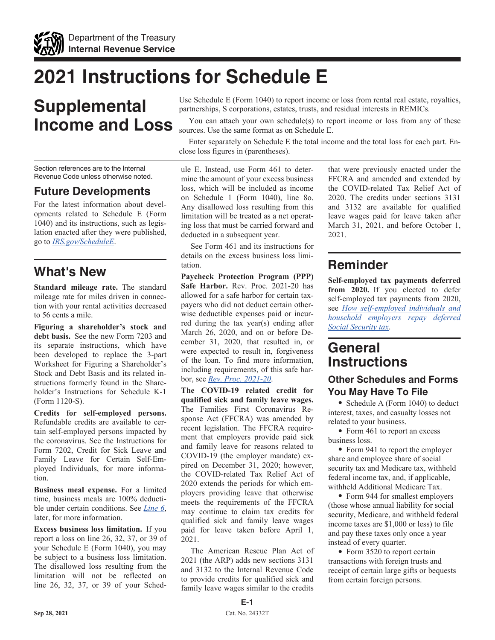

# **2021 Instructions for Schedule E**

# **Supplemental Income and Loss**

Section references are to the Internal Revenue Code unless otherwise noted.

### **Future Developments**

For the latest information about developments related to Schedule E (Form 1040) and its instructions, such as legislation enacted after they were published, go to *[IRS.gov/ScheduleE](https://www.irs.gov/schedulee)*.

## **What's New**

**Standard mileage rate.** The standard mileage rate for miles driven in connection with your rental activities decreased to 56 cents a mile.

**Figuring a shareholder's stock and debt basis.** See the new Form 7203 and its separate instructions, which have been developed to replace the 3-part Worksheet for Figuring a Shareholder's Stock and Debt Basis and its related instructions formerly found in the Shareholder's Instructions for Schedule K-1 (Form 1120-S).

**Credits for self-employed persons.**  Refundable credits are available to certain self-employed persons impacted by the coronavirus. See the Instructions for Form 7202, Credit for Sick Leave and Family Leave for Certain Self-Employed Individuals, for more information.

**Business meal expense.** For a limited time, business meals are 100% deductible under certain conditions. See *Line 6*, later, for more information.

**Excess business loss limitation.** If you report a loss on line 26, 32, 37, or 39 of your Schedule E (Form 1040), you may be subject to a business loss limitation. The disallowed loss resulting from the limitation will not be reflected on line 26, 32, 37, or 39 of your SchedUse Schedule E (Form 1040) to report income or loss from rental real estate, royalties, partnerships, S corporations, estates, trusts, and residual interests in REMICs.

You can attach your own schedule(s) to report income or loss from any of these sources. Use the same format as on Schedule E.

Enter separately on Schedule E the total income and the total loss for each part. Enclose loss figures in (parentheses).

ule E. Instead, use Form 461 to determine the amount of your excess business loss, which will be included as income on Schedule 1 (Form 1040), line 8o. Any disallowed loss resulting from this limitation will be treated as a net operating loss that must be carried forward and deducted in a subsequent year.

See Form 461 and its instructions for details on the excess business loss limitation.

**Paycheck Protection Program (PPP) Safe Harbor.** Rev. Proc. 2021-20 has allowed for a safe harbor for certain taxpayers who did not deduct certain otherwise deductible expenses paid or incurred during the tax year(s) ending after March 26, 2020, and on or before December 31, 2020, that resulted in, or were expected to result in, forgiveness of the loan. To find more information, including requirements, of this safe harbor, see *[Rev. Proc. 2021-20](https://www.irs.gov/irb/2021-19_IRB#REV-PROC-2021-20)*.

**The COVID-19 related credit for qualified sick and family leave wages.**  The Families First Coronavirus Response Act (FFCRA) was amended by recent legislation. The FFCRA requirement that employers provide paid sick and family leave for reasons related to COVID-19 (the employer mandate) expired on December 31, 2020; however, the COVID-related Tax Relief Act of 2020 extends the periods for which employers providing leave that otherwise meets the requirements of the FFCRA may continue to claim tax credits for qualified sick and family leave wages paid for leave taken before April 1, 2021.

The American Rescue Plan Act of 2021 (the ARP) adds new sections 3131 and 3132 to the Internal Revenue Code to provide credits for qualified sick and family leave wages similar to the credits that were previously enacted under the FFCRA and amended and extended by the COVID-related Tax Relief Act of 2020. The credits under sections 3131 and 3132 are available for qualified leave wages paid for leave taken after March 31, 2021, and before October 1, 2021.

# **Reminder**

**Self-employed tax payments deferred from 2020.** If you elected to defer self-employed tax payments from 2020, see *[How self-employed individuals and](https://www.irs.gov/newsroom/how-self-employed-individuals-and-household-employers-repay-deferred-social-security-tax) [household employers repay deferred](https://www.irs.gov/newsroom/how-self-employed-individuals-and-household-employers-repay-deferred-social-security-tax)  [Social Security tax](https://www.irs.gov/newsroom/how-self-employed-individuals-and-household-employers-repay-deferred-social-security-tax)*.

# **General Instructions**

### **Other Schedules and Forms You May Have To File**

• Schedule A (Form 1040) to deduct interest, taxes, and casualty losses not related to your business.

• Form 461 to report an excess business loss.

• Form 941 to report the employer share and employee share of social security tax and Medicare tax, withheld federal income tax, and, if applicable, withheld Additional Medicare Tax.

• Form 944 for smallest employers (those whose annual liability for social security, Medicare, and withheld federal income taxes are \$1,000 or less) to file and pay these taxes only once a year instead of every quarter.

• Form 3520 to report certain transactions with foreign trusts and receipt of certain large gifts or bequests from certain foreign persons.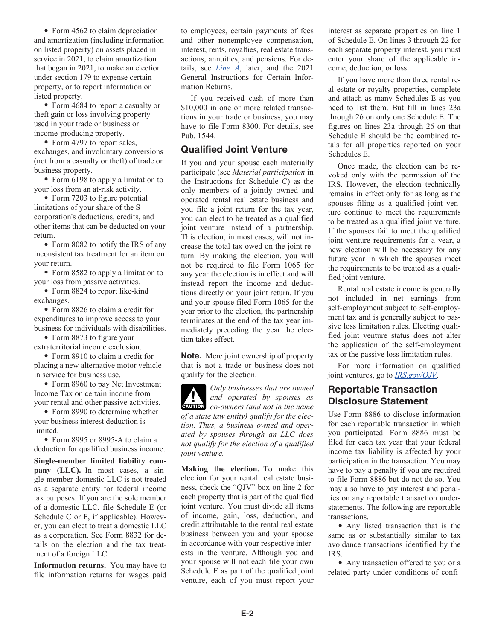• Form 4562 to claim depreciation and amortization (including information on listed property) on assets placed in service in 2021, to claim amortization that began in 2021, to make an election under section 179 to expense certain property, or to report information on listed property.

• Form 4684 to report a casualty or theft gain or loss involving property used in your trade or business or income-producing property.

• Form 4797 to report sales, exchanges, and involuntary conversions (not from a casualty or theft) of trade or business property.

• Form 6198 to apply a limitation to your loss from an at-risk activity.

• Form 7203 to figure potential limitations of your share of the S corporation's deductions, credits, and other items that can be deducted on your return.

• Form 8082 to notify the IRS of any inconsistent tax treatment for an item on your return.

• Form 8582 to apply a limitation to your loss from passive activities.

• Form 8824 to report like-kind exchanges.

• Form 8826 to claim a credit for expenditures to improve access to your business for individuals with disabilities.

• Form 8873 to figure your extraterritorial income exclusion.

• Form 8910 to claim a credit for placing a new alternative motor vehicle in service for business use.

• Form 8960 to pay Net Investment Income Tax on certain income from your rental and other passive activities.

• Form 8990 to determine whether your business interest deduction is limited.

• Form 8995 or 8995-A to claim a deduction for qualified business income.

**Single-member limited liability company (LLC).** In most cases, a single-member domestic LLC is not treated as a separate entity for federal income tax purposes. If you are the sole member of a domestic LLC, file Schedule E (or Schedule C or F, if applicable). However, you can elect to treat a domestic LLC as a corporation. See Form 8832 for details on the election and the tax treatment of a foreign LLC.

**Information returns.** You may have to file information returns for wages paid to employees, certain payments of fees and other nonemployee compensation, interest, rents, royalties, real estate transactions, annuities, and pensions. For details, see *Line A*, later, and the 2021 General Instructions for Certain Information Returns.

If you received cash of more than \$10,000 in one or more related transactions in your trade or business, you may have to file Form 8300. For details, see Pub. 1544.

#### **Qualified Joint Venture**

If you and your spouse each materially participate (see *Material participation* in the Instructions for Schedule C) as the only members of a jointly owned and operated rental real estate business and you file a joint return for the tax year, you can elect to be treated as a qualified joint venture instead of a partnership. This election, in most cases, will not increase the total tax owed on the joint return. By making the election, you will not be required to file Form 1065 for any year the election is in effect and will instead report the income and deductions directly on your joint return. If you and your spouse filed Form 1065 for the year prior to the election, the partnership terminates at the end of the tax year immediately preceding the year the election takes effect.

**Note.** Mere joint ownership of property that is not a trade or business does not qualify for the election.

*Only businesses that are owned and operated by spouses as*  **caution** co-owners (and not in the name *of a state law entity) qualify for the election. Thus, a business owned and operated by spouses through an LLC does not qualify for the election of a qualified joint venture.*

**Making the election.** To make this election for your rental real estate business, check the "QJV" box on line 2 for each property that is part of the qualified joint venture. You must divide all items of income, gain, loss, deduction, and credit attributable to the rental real estate business between you and your spouse in accordance with your respective interests in the venture. Although you and your spouse will not each file your own Schedule E as part of the qualified joint venture, each of you must report your

interest as separate properties on line 1 of Schedule E. On lines 3 through 22 for each separate property interest, you must enter your share of the applicable income, deduction, or loss.

If you have more than three rental real estate or royalty properties, complete and attach as many Schedules E as you need to list them. But fill in lines 23a through 26 on only one Schedule E. The figures on lines 23a through 26 on that Schedule E should be the combined totals for all properties reported on your Schedules E.

Once made, the election can be revoked only with the permission of the IRS. However, the election technically remains in effect only for as long as the spouses filing as a qualified joint venture continue to meet the requirements to be treated as a qualified joint venture. If the spouses fail to meet the qualified joint venture requirements for a year, a new election will be necessary for any future year in which the spouses meet the requirements to be treated as a qualified joint venture.

Rental real estate income is generally not included in net earnings from self-employment subject to self-employment tax and is generally subject to passive loss limitation rules. Electing qualified joint venture status does not alter the application of the self-employment tax or the passive loss limitation rules.

For more information on qualified joint ventures, go to *[IRS.gov/QJV](https://www.IRS.gov/QJV)*.

### **Reportable Transaction Disclosure Statement**

Use Form 8886 to disclose information for each reportable transaction in which you participated. Form 8886 must be filed for each tax year that your federal income tax liability is affected by your participation in the transaction. You may have to pay a penalty if you are required to file Form 8886 but do not do so. You may also have to pay interest and penalties on any reportable transaction understatements. The following are reportable transactions.

• Any listed transaction that is the same as or substantially similar to tax avoidance transactions identified by the IRS.

• Any transaction offered to you or a related party under conditions of confi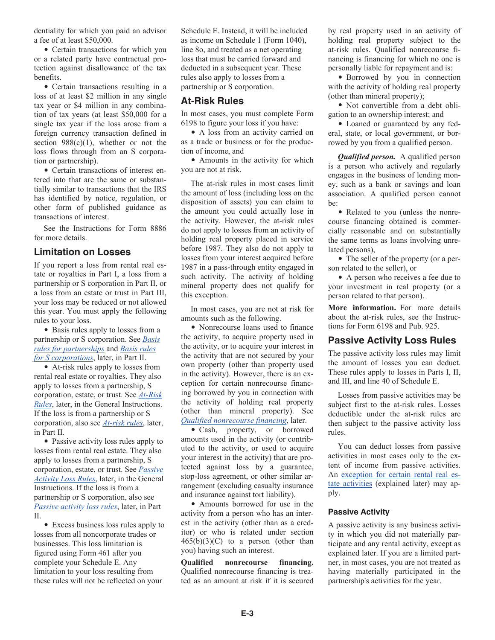dentiality for which you paid an advisor a fee of at least \$50,000.

• Certain transactions for which you or a related party have contractual protection against disallowance of the tax benefits.

• Certain transactions resulting in a loss of at least \$2 million in any single tax year or \$4 million in any combination of tax years (at least \$50,000 for a single tax year if the loss arose from a foreign currency transaction defined in section  $988(c)(1)$ , whether or not the loss flows through from an S corporation or partnership).

• Certain transactions of interest entered into that are the same or substantially similar to transactions that the IRS has identified by notice, regulation, or other form of published guidance as transactions of interest.

See the Instructions for Form 8886 for more details.

#### **Limitation on Losses**

If you report a loss from rental real estate or royalties in Part I, a loss from a partnership or S corporation in Part II, or a loss from an estate or trust in Part III, your loss may be reduced or not allowed this year. You must apply the following rules to your loss.

• Basis rules apply to losses from a partnership or S corporation. See *Basis rules for partnerships* and *Basis rules for S corporations*, later, in Part II.

• At-risk rules apply to losses from rental real estate or royalties. They also apply to losses from a partnership, S corporation, estate, or trust. See *At-Risk Rules*, later, in the General Instructions. If the loss is from a partnership or S corporation, also see *At-risk rules*, later, in Part II.

• Passive activity loss rules apply to losses from rental real estate. They also apply to losses from a partnership, S corporation, estate, or trust. See *Passive Activity Loss Rules*, later, in the General Instructions. If the loss is from a partnership or S corporation, also see *Passive activity loss rules*, later, in Part II.

• Excess business loss rules apply to losses from all noncorporate trades or businesses. This loss limitation is figured using Form 461 after you complete your Schedule E. Any limitation to your loss resulting from these rules will not be reflected on your

Schedule E. Instead, it will be included as income on Schedule 1 (Form 1040), line 8o, and treated as a net operating loss that must be carried forward and deducted in a subsequent year. These rules also apply to losses from a partnership or S corporation.

#### **At-Risk Rules**

In most cases, you must complete Form 6198 to figure your loss if you have:

• A loss from an activity carried on as a trade or business or for the production of income, and

• Amounts in the activity for which you are not at risk.

The at-risk rules in most cases limit the amount of loss (including loss on the disposition of assets) you can claim to the amount you could actually lose in the activity. However, the at-risk rules do not apply to losses from an activity of holding real property placed in service before 1987. They also do not apply to losses from your interest acquired before 1987 in a pass-through entity engaged in such activity. The activity of holding mineral property does not qualify for this exception.

In most cases, you are not at risk for amounts such as the following.

• Nonrecourse loans used to finance the activity, to acquire property used in the activity, or to acquire your interest in the activity that are not secured by your own property (other than property used in the activity). However, there is an exception for certain nonrecourse financing borrowed by you in connection with the activity of holding real property (other than mineral property). See *Qualified nonrecourse financing*, later.

• Cash, property, or borrowed amounts used in the activity (or contributed to the activity, or used to acquire your interest in the activity) that are protected against loss by a guarantee, stop-loss agreement, or other similar arrangement (excluding casualty insurance and insurance against tort liability).

• Amounts borrowed for use in the activity from a person who has an interest in the activity (other than as a creditor) or who is related under section  $465(b)(3)(C)$  to a person (other than you) having such an interest.

**Qualified nonrecourse financing.**  Qualified nonrecourse financing is treated as an amount at risk if it is secured by real property used in an activity of holding real property subject to the at-risk rules. Qualified nonrecourse financing is financing for which no one is personally liable for repayment and is:

• Borrowed by you in connection with the activity of holding real property (other than mineral property);

• Not convertible from a debt obligation to an ownership interest; and

• Loaned or guaranteed by any federal, state, or local government, or borrowed by you from a qualified person.

*Qualified person.* A qualified person is a person who actively and regularly engages in the business of lending money, such as a bank or savings and loan association. A qualified person cannot be:

• Related to you (unless the nonrecourse financing obtained is commercially reasonable and on substantially the same terms as loans involving unrelated persons),

• The seller of the property (or a person related to the seller), or

• A person who receives a fee due to your investment in real property (or a person related to that person).

**More information.** For more details about the at-risk rules, see the Instructions for Form 6198 and Pub. 925.

#### **Passive Activity Loss Rules**

The passive activity loss rules may limit the amount of losses you can deduct. These rules apply to losses in Parts I, II, and III, and line 40 of Schedule E.

Losses from passive activities may be subject first to the at-risk rules. Losses deductible under the at-risk rules are then subject to the passive activity loss rules.

You can deduct losses from passive activities in most cases only to the extent of income from passive activities. An exception for certain rental real estate activities (explained later) may apply.

#### **Passive Activity**

A passive activity is any business activity in which you did not materially participate and any rental activity, except as explained later. If you are a limited partner, in most cases, you are not treated as having materially participated in the partnership's activities for the year.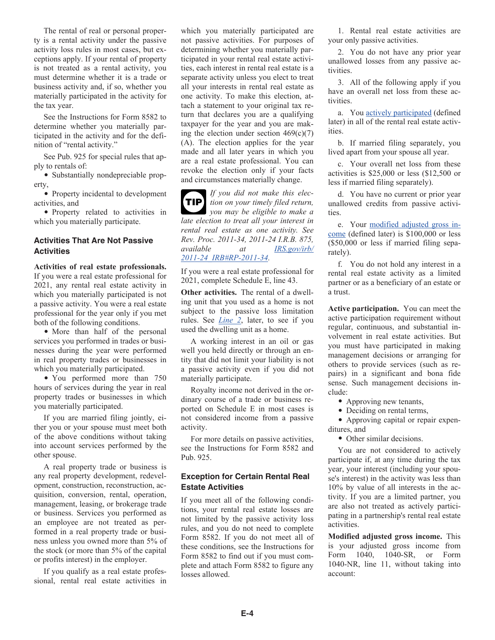The rental of real or personal property is a rental activity under the passive activity loss rules in most cases, but exceptions apply. If your rental of property is not treated as a rental activity, you must determine whether it is a trade or business activity and, if so, whether you materially participated in the activity for the tax year.

See the Instructions for Form 8582 to determine whether you materially participated in the activity and for the definition of "rental activity."

See Pub. 925 for special rules that apply to rentals of:

• Substantially nondepreciable property,

• Property incidental to development activities, and

• Property related to activities in which you materially participate.

#### **Activities That Are Not Passive Activities**

**Activities of real estate professionals.**  If you were a real estate professional for 2021, any rental real estate activity in which you materially participated is not a passive activity. You were a real estate professional for the year only if you met both of the following conditions.

• More than half of the personal services you performed in trades or businesses during the year were performed in real property trades or businesses in which you materially participated.

• You performed more than 750 hours of services during the year in real property trades or businesses in which you materially participated.

If you are married filing jointly, either you or your spouse must meet both of the above conditions without taking into account services performed by the other spouse.

A real property trade or business is any real property development, redevelopment, construction, reconstruction, acquisition, conversion, rental, operation, management, leasing, or brokerage trade or business. Services you performed as an employee are not treated as performed in a real property trade or business unless you owned more than 5% of the stock (or more than 5% of the capital or profits interest) in the employer.

If you qualify as a real estate professional, rental real estate activities in which you materially participated are not passive activities. For purposes of determining whether you materially participated in your rental real estate activities, each interest in rental real estate is a separate activity unless you elect to treat all your interests in rental real estate as one activity. To make this election, attach a statement to your original tax return that declares you are a qualifying taxpayer for the year and you are making the election under section  $469(c)(7)$ (A). The election applies for the year made and all later years in which you are a real estate professional. You can revoke the election only if your facts and circumstances materially change.

*If you did not make this election on your timely filed return,*  **TIP** *you may be eligible to make a late election to treat all your interest in rental real estate as one activity. See Rev. Proc. 2011-34, 2011-24 I.R.B. 875, available at [IRS.gov/irb/](https://www.irs.gov/irb/2011-24_IRB#RP-2011-34) [2011-24\\_IRB#RP-2011-34.](https://www.irs.gov/irb/2011-24_IRB#RP-2011-34)*

If you were a real estate professional for 2021, complete Schedule E, line 43.

**Other activities.** The rental of a dwelling unit that you used as a home is not subject to the passive loss limitation rules. See *Line 2*, later, to see if you used the dwelling unit as a home.

A working interest in an oil or gas well you held directly or through an entity that did not limit your liability is not a passive activity even if you did not materially participate.

Royalty income not derived in the ordinary course of a trade or business reported on Schedule E in most cases is not considered income from a passive activity.

For more details on passive activities, see the Instructions for Form 8582 and Pub. 925.

#### **Exception for Certain Rental Real Estate Activities**

If you meet all of the following conditions, your rental real estate losses are not limited by the passive activity loss rules, and you do not need to complete Form 8582. If you do not meet all of these conditions, see the Instructions for Form 8582 to find out if you must complete and attach Form 8582 to figure any losses allowed.

1. Rental real estate activities are your only passive activities.

2. You do not have any prior year unallowed losses from any passive activities.

3. All of the following apply if you have an overall net loss from these activities.

a. You actively participated (defined later) in all of the rental real estate activities.

b. If married filing separately, you lived apart from your spouse all year.

c. Your overall net loss from these activities is \$25,000 or less (\$12,500 or less if married filing separately).

d. You have no current or prior year unallowed credits from passive activities.

e. Your modified adjusted gross income (defined later) is \$100,000 or less (\$50,000 or less if married filing separately).

f. You do not hold any interest in a rental real estate activity as a limited partner or as a beneficiary of an estate or a trust.

**Active participation.** You can meet the active participation requirement without regular, continuous, and substantial involvement in real estate activities. But you must have participated in making management decisions or arranging for others to provide services (such as repairs) in a significant and bona fide sense. Such management decisions include:

• Approving new tenants,

• Deciding on rental terms,

• Approving capital or repair expenditures, and

• Other similar decisions.

You are not considered to actively participate if, at any time during the tax year, your interest (including your spouse's interest) in the activity was less than 10% by value of all interests in the activity. If you are a limited partner, you are also not treated as actively participating in a partnership's rental real estate activities.

**Modified adjusted gross income.** This is your adjusted gross income from Form 1040, 1040-SR, or Form 1040-NR, line 11, without taking into account: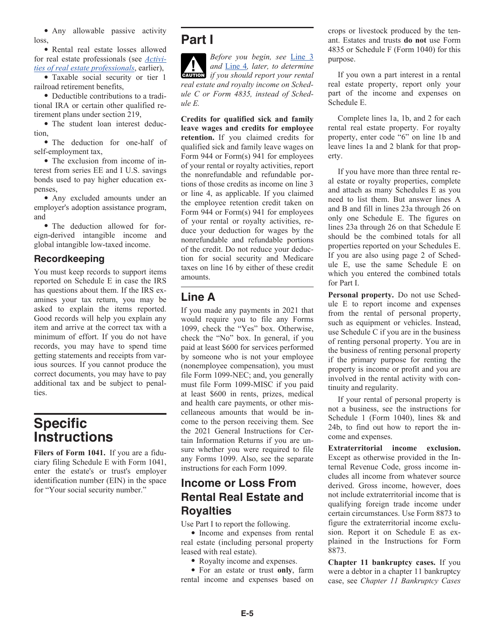• Any allowable passive activity loss,

• Rental real estate losses allowed for real estate professionals (see *Activities of real estate professionals*, earlier),

• Taxable social security or tier 1 railroad retirement benefits,

• Deductible contributions to a traditional IRA or certain other qualified retirement plans under section 219,

• The student loan interest deduction,

• The deduction for one-half of self-employment tax,

• The exclusion from income of interest from series EE and I U.S. savings bonds used to pay higher education expenses,

• Any excluded amounts under an employer's adoption assistance program, and

• The deduction allowed for foreign-derived intangible income and global intangible low-taxed income.

#### **Recordkeeping**

You must keep records to support items reported on Schedule E in case the IRS has questions about them. If the IRS examines your tax return, you may be asked to explain the items reported. Good records will help you explain any item and arrive at the correct tax with a minimum of effort. If you do not have records, you may have to spend time getting statements and receipts from various sources. If you cannot produce the correct documents, you may have to pay additional tax and be subject to penalties.

# **Specific Instructions**

**Filers of Form 1041.** If you are a fiduciary filing Schedule E with Form 1041, enter the estate's or trust's employer identification number (EIN) in the space for "Your social security number."

# **Part I**

*Before you begin, see* Line 3 *and* Line 4*, later, to determine caution if you should report your rental real estate and royalty income on Schedule C or Form 4835, instead of Schedule E.*

**Credits for qualified sick and family leave wages and credits for employee retention.** If you claimed credits for qualified sick and family leave wages on Form 944 or Form(s) 941 for employees of your rental or royalty activities, report the nonrefundable and refundable portions of those credits as income on line 3 or line 4, as applicable. If you claimed the employee retention credit taken on Form 944 or Form(s) 941 for employees of your rental or royalty activities, reduce your deduction for wages by the nonrefundable and refundable portions of the credit. Do not reduce your deduction for social security and Medicare taxes on line 16 by either of these credit amounts.

### **Line A**

If you made any payments in 2021 that would require you to file any Forms 1099, check the "Yes" box. Otherwise, check the "No" box. In general, if you paid at least \$600 for services performed by someone who is not your employee (nonemployee compensation), you must file Form 1099-NEC; and, you generally must file Form 1099-MISC if you paid at least \$600 in rents, prizes, medical and health care payments, or other miscellaneous amounts that would be income to the person receiving them. See the 2021 General Instructions for Certain Information Returns if you are unsure whether you were required to file any Forms 1099. Also, see the separate instructions for each Form 1099.

### **Income or Loss From Rental Real Estate and Royalties**

Use Part I to report the following.

• Income and expenses from rental real estate (including personal property leased with real estate).

• Royalty income and expenses.

• For an estate or trust **only**, farm rental income and expenses based on crops or livestock produced by the tenant. Estates and trusts **do not** use Form 4835 or Schedule F (Form 1040) for this purpose.

If you own a part interest in a rental real estate property, report only your part of the income and expenses on Schedule E.

Complete lines 1a, 1b, and 2 for each rental real estate property. For royalty property, enter code "6" on line 1b and leave lines 1a and 2 blank for that property.

If you have more than three rental real estate or royalty properties, complete and attach as many Schedules E as you need to list them. But answer lines A and B and fill in lines 23a through 26 on only one Schedule E. The figures on lines 23a through 26 on that Schedule E should be the combined totals for all properties reported on your Schedules E. If you are also using page 2 of Schedule E, use the same Schedule E on which you entered the combined totals for Part I.

**Personal property.** Do not use Schedule E to report income and expenses from the rental of personal property, such as equipment or vehicles. Instead, use Schedule C if you are in the business of renting personal property. You are in the business of renting personal property if the primary purpose for renting the property is income or profit and you are involved in the rental activity with continuity and regularity.

If your rental of personal property is not a business, see the instructions for Schedule 1 (Form 1040), lines 8k and 24b, to find out how to report the income and expenses.

**Extraterritorial income exclusion.**  Except as otherwise provided in the Internal Revenue Code, gross income includes all income from whatever source derived. Gross income, however, does not include extraterritorial income that is qualifying foreign trade income under certain circumstances. Use Form 8873 to figure the extraterritorial income exclusion. Report it on Schedule E as explained in the Instructions for Form 8873.

**Chapter 11 bankruptcy cases.** If you were a debtor in a chapter 11 bankruptcy case, see *Chapter 11 Bankruptcy Cases*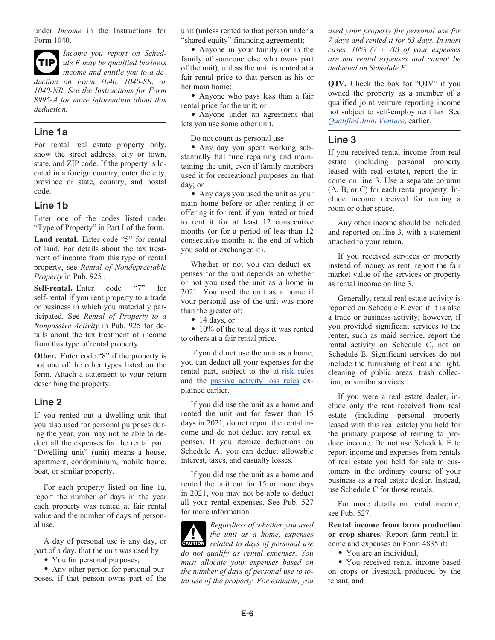under *Income* in the Instructions for Form 1040.



*Income you report on Schedule E may be qualified business income and entitle you to a deduction on Form 1040, 1040-SR, or 1040-NR. See the Instructions for Form 8995-A for more information about this deduction.*

#### **Line 1a**

For rental real estate property only, show the street address, city or town, state, and ZIP code. If the property is located in a foreign country, enter the city, province or state, country, and postal code.

#### **Line 1b**

Enter one of the codes listed under "Type of Property" in Part I of the form.

Land rental. Enter code "5" for rental of land. For details about the tax treatment of income from this type of rental property, see *Rental of Nondepreciable Property* in Pub. 925 .

**Self-rental.** Enter code "7" for self-rental if you rent property to a trade or business in which you materially participated. See *Rental of Property to a Nonpassive Activity* in Pub. 925 for details about the tax treatment of income from this type of rental property.

**Other.** Enter code "8" if the property is not one of the other types listed on the form. Attach a statement to your return describing the property.

#### **Line 2**

If you rented out a dwelling unit that you also used for personal purposes during the year, you may not be able to deduct all the expenses for the rental part. "Dwelling unit" (unit) means a house, apartment, condominium, mobile home, boat, or similar property.

For each property listed on line 1a, report the number of days in the year each property was rented at fair rental value and the number of days of personal use.

A day of personal use is any day, or part of a day, that the unit was used by:

• You for personal purposes;

• Any other person for personal purposes, if that person owns part of the unit (unless rented to that person under a "shared equity" financing agreement);

• Anyone in your family (or in the family of someone else who owns part of the unit), unless the unit is rented at a fair rental price to that person as his or her main home;

• Anyone who pays less than a fair rental price for the unit; or

• Anyone under an agreement that lets you use some other unit.

Do not count as personal use:

• Any day you spent working substantially full time repairing and maintaining the unit, even if family members used it for recreational purposes on that day; or

• Any days you used the unit as your main home before or after renting it or offering it for rent, if you rented or tried to rent it for at least 12 consecutive months (or for a period of less than 12 consecutive months at the end of which you sold or exchanged it).

Whether or not you can deduct expenses for the unit depends on whether or not you used the unit as a home in 2021. You used the unit as a home if your personal use of the unit was more than the greater of:

• 14 days, or

• 10% of the total days it was rented to others at a fair rental price.

If you did not use the unit as a home, you can deduct all your expenses for the rental part, subject to the at-risk rules and the passive activity loss rules explained earlier.

If you did use the unit as a home and rented the unit out for fewer than 15 days in 2021, do not report the rental income and do not deduct any rental expenses. If you itemize deductions on Schedule A, you can deduct allowable interest, taxes, and casualty losses.

If you did use the unit as a home and rented the unit out for 15 or more days in 2021, you may not be able to deduct all your rental expenses. See Pub. 527 for more information.

*Regardless of whether you used the unit as a home, expenses caution* the unit as a home, expenses related to days of personal use *do not qualify as rental expenses. You must allocate your expenses based on the number of days of personal use to total use of the property. For example, you* 

*used your property for personal use for 7 days and rented it for 63 days. In most cases, 10% (7 ÷ 70) of your expenses are not rental expenses and cannot be deducted on Schedule E.*

**QJV.** Check the box for "QJV" if you owned the property as a member of a qualified joint venture reporting income not subject to self-employment tax. See *Qualified Joint Venture*, earlier.

#### **Line 3**

If you received rental income from real estate (including personal property leased with real estate), report the income on line 3. Use a separate column (A, B, or C) for each rental property. Include income received for renting a room or other space.

Any other income should be included and reported on line 3, with a statement attached to your return.

If you received services or property instead of money as rent, report the fair market value of the services or property as rental income on line 3.

Generally, rental real estate activity is reported on Schedule E even if it is also a trade or business activity; however, if you provided significant services to the renter, such as maid service, report the rental activity on Schedule C, not on Schedule E. Significant services do not include the furnishing of heat and light, cleaning of public areas, trash collection, or similar services.

If you were a real estate dealer, include only the rent received from real estate (including personal property leased with this real estate) you held for the primary purpose of renting to produce income. Do not use Schedule E to report income and expenses from rentals of real estate you held for sale to customers in the ordinary course of your business as a real estate dealer. Instead, use Schedule C for those rentals.

For more details on rental income, see Pub. 527.

**Rental income from farm production or crop shares.** Report farm rental income and expenses on Form 4835 if:

• You are an individual.

• You received rental income based on crops or livestock produced by the tenant, and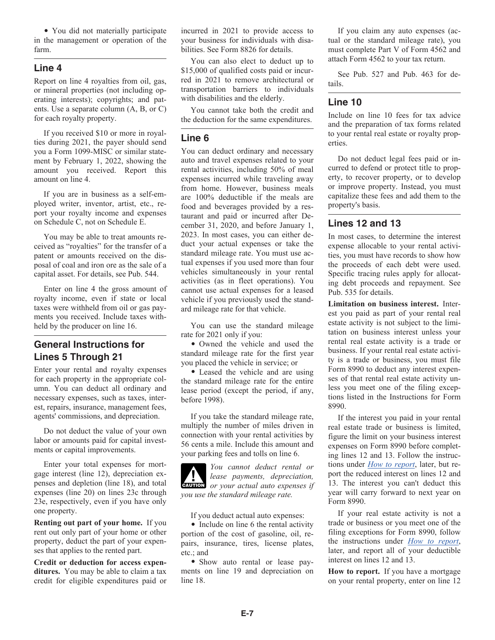• You did not materially participate in the management or operation of the farm.

#### **Line 4**

Report on line 4 royalties from oil, gas, or mineral properties (not including operating interests); copyrights; and patents. Use a separate column (A, B, or C) for each royalty property.

If you received \$10 or more in royalties during 2021, the payer should send you a Form 1099-MISC or similar statement by February 1, 2022, showing the amount you received. Report this amount on line 4.

If you are in business as a self-employed writer, inventor, artist, etc., report your royalty income and expenses on Schedule C, not on Schedule E.

You may be able to treat amounts received as "royalties" for the transfer of a patent or amounts received on the disposal of coal and iron ore as the sale of a capital asset. For details, see Pub. 544.

Enter on line 4 the gross amount of royalty income, even if state or local taxes were withheld from oil or gas payments you received. Include taxes withheld by the producer on line 16.

### **General Instructions for Lines 5 Through 21**

Enter your rental and royalty expenses for each property in the appropriate column. You can deduct all ordinary and necessary expenses, such as taxes, interest, repairs, insurance, management fees, agents' commissions, and depreciation.

Do not deduct the value of your own labor or amounts paid for capital investments or capital improvements.

Enter your total expenses for mortgage interest (line 12), depreciation expenses and depletion (line 18), and total expenses (line 20) on lines 23c through 23e, respectively, even if you have only one property.

**Renting out part of your home.** If you rent out only part of your home or other property, deduct the part of your expenses that applies to the rented part.

**Credit or deduction for access expenditures.** You may be able to claim a tax credit for eligible expenditures paid or incurred in 2021 to provide access to your business for individuals with disabilities. See Form 8826 for details.

You can also elect to deduct up to \$15,000 of qualified costs paid or incurred in 2021 to remove architectural or transportation barriers to individuals with disabilities and the elderly.

You cannot take both the credit and the deduction for the same expenditures.

### **Line 6**

You can deduct ordinary and necessary auto and travel expenses related to your rental activities, including 50% of meal expenses incurred while traveling away from home. However, business meals are 100% deductible if the meals are food and beverages provided by a restaurant and paid or incurred after December 31, 2020, and before January 1, 2023. In most cases, you can either deduct your actual expenses or take the standard mileage rate. You must use actual expenses if you used more than four vehicles simultaneously in your rental activities (as in fleet operations). You cannot use actual expenses for a leased vehicle if you previously used the standard mileage rate for that vehicle.

You can use the standard mileage rate for 2021 only if you:

• Owned the vehicle and used the standard mileage rate for the first year you placed the vehicle in service; or

• Leased the vehicle and are using the standard mileage rate for the entire lease period (except the period, if any, before 1998).

If you take the standard mileage rate, multiply the number of miles driven in connection with your rental activities by 56 cents a mile. Include this amount and your parking fees and tolls on line 6.

*You cannot deduct rental or lease payments, depreciation,*  **CAUTION** *or your actual auto expenses if you use the standard mileage rate.*

If you deduct actual auto expenses:

• Include on line 6 the rental activity portion of the cost of gasoline, oil, repairs, insurance, tires, license plates, etc.; and

• Show auto rental or lease payments on line 19 and depreciation on line 18.

If you claim any auto expenses (actual or the standard mileage rate), you must complete Part V of Form 4562 and attach Form 4562 to your tax return.

See Pub. 527 and Pub. 463 for details.

#### **Line 10**

Include on line 10 fees for tax advice and the preparation of tax forms related to your rental real estate or royalty properties.

Do not deduct legal fees paid or incurred to defend or protect title to property, to recover property, or to develop or improve property. Instead, you must capitalize these fees and add them to the property's basis.

#### **Lines 12 and 13**

In most cases, to determine the interest expense allocable to your rental activities, you must have records to show how the proceeds of each debt were used. Specific tracing rules apply for allocating debt proceeds and repayment. See Pub. 535 for details.

**Limitation on business interest.** Interest you paid as part of your rental real estate activity is not subject to the limitation on business interest unless your rental real estate activity is a trade or business. If your rental real estate activity is a trade or business, you must file Form 8990 to deduct any interest expenses of that rental real estate activity unless you meet one of the filing exceptions listed in the Instructions for Form 8990.

If the interest you paid in your rental real estate trade or business is limited, figure the limit on your business interest expenses on Form 8990 before completing lines 12 and 13. Follow the instructions under *How to report*, later, but report the reduced interest on lines 12 and 13. The interest you can't deduct this year will carry forward to next year on Form 8990.

If your real estate activity is not a trade or business or you meet one of the filing exceptions for Form 8990, follow the instructions under *How to report*, later, and report all of your deductible interest on lines 12 and 13.

**How to report.** If you have a mortgage on your rental property, enter on line 12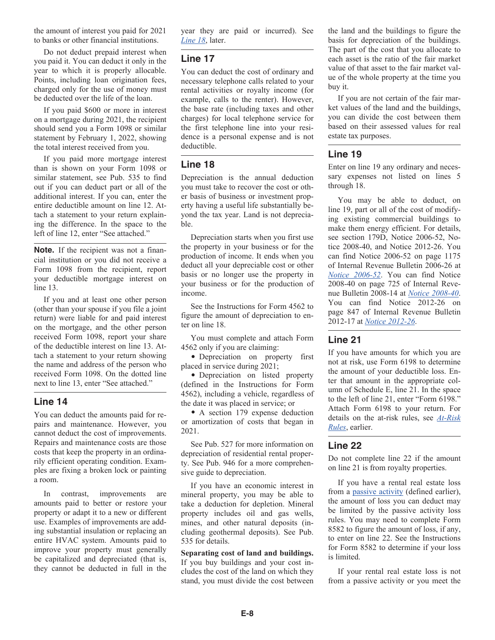the amount of interest you paid for 2021 to banks or other financial institutions.

Do not deduct prepaid interest when you paid it. You can deduct it only in the year to which it is properly allocable. Points, including loan origination fees, charged only for the use of money must be deducted over the life of the loan.

If you paid \$600 or more in interest on a mortgage during 2021, the recipient should send you a Form 1098 or similar statement by February 1, 2022, showing the total interest received from you.

If you paid more mortgage interest than is shown on your Form 1098 or similar statement, see Pub. 535 to find out if you can deduct part or all of the additional interest. If you can, enter the entire deductible amount on line 12. Attach a statement to your return explaining the difference. In the space to the left of line 12, enter "See attached."

**Note.** If the recipient was not a financial institution or you did not receive a Form 1098 from the recipient, report your deductible mortgage interest on line 13.

If you and at least one other person (other than your spouse if you file a joint return) were liable for and paid interest on the mortgage, and the other person received Form 1098, report your share of the deductible interest on line 13. Attach a statement to your return showing the name and address of the person who received Form 1098. On the dotted line next to line 13, enter "See attached."

#### **Line 14**

You can deduct the amounts paid for repairs and maintenance. However, you cannot deduct the cost of improvements. Repairs and maintenance costs are those costs that keep the property in an ordinarily efficient operating condition. Examples are fixing a broken lock or painting a room.

In contrast, improvements are amounts paid to better or restore your property or adapt it to a new or different use. Examples of improvements are adding substantial insulation or replacing an entire HVAC system. Amounts paid to improve your property must generally be capitalized and depreciated (that is, they cannot be deducted in full in the year they are paid or incurred). See *Line 18*, later.

#### **Line 17**

You can deduct the cost of ordinary and necessary telephone calls related to your rental activities or royalty income (for example, calls to the renter). However, the base rate (including taxes and other charges) for local telephone service for the first telephone line into your residence is a personal expense and is not deductible.

#### **Line 18**

Depreciation is the annual deduction you must take to recover the cost or other basis of business or investment property having a useful life substantially beyond the tax year. Land is not depreciable.

Depreciation starts when you first use the property in your business or for the production of income. It ends when you deduct all your depreciable cost or other basis or no longer use the property in your business or for the production of income.

See the Instructions for Form 4562 to figure the amount of depreciation to enter on line 18.

You must complete and attach Form 4562 only if you are claiming:

• Depreciation on property first placed in service during 2021;

• Depreciation on listed property (defined in the Instructions for Form 4562), including a vehicle, regardless of the date it was placed in service; or

• A section 179 expense deduction or amortization of costs that began in 2021.

See Pub. 527 for more information on depreciation of residential rental property. See Pub. 946 for a more comprehensive guide to depreciation.

If you have an economic interest in mineral property, you may be able to take a deduction for depletion. Mineral property includes oil and gas wells, mines, and other natural deposits (including geothermal deposits). See Pub. 535 for details.

**Separating cost of land and buildings.**  If you buy buildings and your cost includes the cost of the land on which they stand, you must divide the cost between the land and the buildings to figure the basis for depreciation of the buildings. The part of the cost that you allocate to each asset is the ratio of the fair market value of that asset to the fair market value of the whole property at the time you buy it.

If you are not certain of the fair market values of the land and the buildings, you can divide the cost between them based on their assessed values for real estate tax purposes.

#### **Line 19**

Enter on line 19 any ordinary and necessary expenses not listed on lines 5 through 18.

You may be able to deduct, on line 19, part or all of the cost of modifying existing commercial buildings to make them energy efficient. For details, see section 179D, Notice 2006-52, Notice 2008-40, and Notice 2012-26. You can find Notice 2006-52 on page 1175 of Internal Revenue Bulletin 2006-26 at *[Notice 2006-52](http://www.irs.gov/irb/2006-26_IRB/)*. You can find Notice 2008-40 on page 725 of Internal Revenue Bulletin 2008-14 at *[Notice 2008-40](http://www.irs.gov/irb/2008-14_IRB/)*. You can find Notice 2012-26 on page 847 of Internal Revenue Bulletin 2012-17 at *[Notice 2012-26](http://www.irs.gov/irb/2012-17_IRB/)*.

#### **Line 21**

If you have amounts for which you are not at risk, use Form 6198 to determine the amount of your deductible loss. Enter that amount in the appropriate column of Schedule E, line 21. In the space to the left of line 21, enter "Form 6198." Attach Form 6198 to your return. For details on the at-risk rules, see *At-Risk Rules*, earlier.

#### **Line 22**

Do not complete line 22 if the amount on line 21 is from royalty properties.

If you have a rental real estate loss from a passive activity (defined earlier), the amount of loss you can deduct may be limited by the passive activity loss rules. You may need to complete Form 8582 to figure the amount of loss, if any, to enter on line 22. See the Instructions for Form 8582 to determine if your loss is limited.

If your rental real estate loss is not from a passive activity or you meet the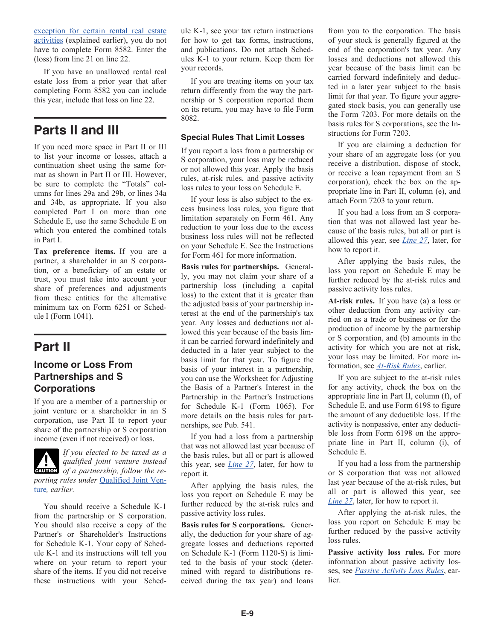exception for certain rental real estate activities (explained earlier), you do not have to complete Form 8582. Enter the (loss) from line 21 on line 22.

If you have an unallowed rental real estate loss from a prior year that after completing Form 8582 you can include this year, include that loss on line 22.

# **Parts II and III**

If you need more space in Part II or III to list your income or losses, attach a continuation sheet using the same format as shown in Part II or III. However, be sure to complete the "Totals" columns for lines 29a and 29b, or lines 34a and 34b, as appropriate. If you also completed Part I on more than one Schedule E, use the same Schedule E on which you entered the combined totals in Part I.

**Tax preference items.** If you are a partner, a shareholder in an S corporation, or a beneficiary of an estate or trust, you must take into account your share of preferences and adjustments from these entities for the alternative minimum tax on Form 6251 or Schedule I (Form 1041).

# **Part II**

### **Income or Loss From Partnerships and S Corporations**

If you are a member of a partnership or joint venture or a shareholder in an S corporation, use Part II to report your share of the partnership or S corporation income (even if not received) or loss.



*If you elected to be taxed as a qualified joint venture instead*  **of** a partnership, follow the re*porting rules under* Qualified Joint Venture*, earlier.*

You should receive a Schedule K-1 from the partnership or S corporation. You should also receive a copy of the Partner's or Shareholder's Instructions for Schedule K-1. Your copy of Schedule K-1 and its instructions will tell you where on your return to report your share of the items. If you did not receive these instructions with your Schedule K-1, see your tax return instructions for how to get tax forms, instructions, and publications. Do not attach Schedules K-1 to your return. Keep them for your records.

If you are treating items on your tax return differently from the way the partnership or S corporation reported them on its return, you may have to file Form 8082.

#### **Special Rules That Limit Losses**

If you report a loss from a partnership or S corporation, your loss may be reduced or not allowed this year. Apply the basis rules, at-risk rules, and passive activity loss rules to your loss on Schedule E.

If your loss is also subject to the excess business loss rules, you figure that limitation separately on Form 461. Any reduction to your loss due to the excess business loss rules will not be reflected on your Schedule E. See the Instructions for Form 461 for more information.

**Basis rules for partnerships.** Generally, you may not claim your share of a partnership loss (including a capital loss) to the extent that it is greater than the adjusted basis of your partnership interest at the end of the partnership's tax year. Any losses and deductions not allowed this year because of the basis limit can be carried forward indefinitely and deducted in a later year subject to the basis limit for that year. To figure the basis of your interest in a partnership, you can use the Worksheet for Adjusting the Basis of a Partner's Interest in the Partnership in the Partner's Instructions for Schedule K-1 (Form 1065). For more details on the basis rules for partnerships, see Pub. 541.

If you had a loss from a partnership that was not allowed last year because of the basis rules, but all or part is allowed this year, see *Line 27*, later, for how to report it.

After applying the basis rules, the loss you report on Schedule E may be further reduced by the at-risk rules and passive activity loss rules.

**Basis rules for S corporations.** Generally, the deduction for your share of aggregate losses and deductions reported on Schedule K-1 (Form 1120-S) is limited to the basis of your stock (determined with regard to distributions received during the tax year) and loans

from you to the corporation. The basis of your stock is generally figured at the end of the corporation's tax year. Any losses and deductions not allowed this year because of the basis limit can be carried forward indefinitely and deducted in a later year subject to the basis limit for that year. To figure your aggregated stock basis, you can generally use the Form 7203. For more details on the basis rules for S corporations, see the Instructions for Form 7203.

If you are claiming a deduction for your share of an aggregate loss (or you receive a distribution, dispose of stock, or receive a loan repayment from an S corporation), check the box on the appropriate line in Part II, column (e), and attach Form 7203 to your return.

If you had a loss from an S corporation that was not allowed last year because of the basis rules, but all or part is allowed this year, see *Line 27*, later, for how to report it.

After applying the basis rules, the loss you report on Schedule E may be further reduced by the at-risk rules and passive activity loss rules.

**At-risk rules.** If you have (a) a loss or other deduction from any activity carried on as a trade or business or for the production of income by the partnership or S corporation, and (b) amounts in the activity for which you are not at risk, your loss may be limited. For more information, see *At-Risk Rules*, earlier.

If you are subject to the at-risk rules for any activity, check the box on the appropriate line in Part II, column (f), of Schedule E, and use Form 6198 to figure the amount of any deductible loss. If the activity is nonpassive, enter any deductible loss from Form 6198 on the appropriate line in Part II, column (i), of Schedule E.

If you had a loss from the partnership or S corporation that was not allowed last year because of the at-risk rules, but all or part is allowed this year, see *Line 27*, later, for how to report it.

After applying the at-risk rules, the loss you report on Schedule E may be further reduced by the passive activity loss rules.

**Passive activity loss rules.** For more information about passive activity losses, see *Passive Activity Loss Rules*, earlier.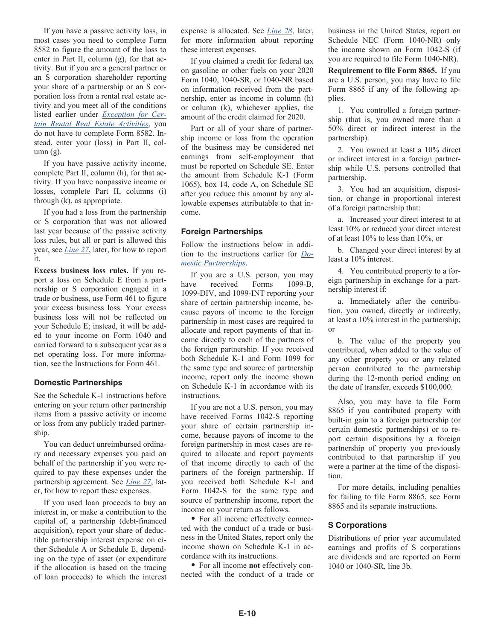If you have a passive activity loss, in most cases you need to complete Form 8582 to figure the amount of the loss to enter in Part II, column (g), for that activity. But if you are a general partner or an S corporation shareholder reporting your share of a partnership or an S corporation loss from a rental real estate activity and you meet all of the conditions listed earlier under *Exception for Certain Rental Real Estate Activities*, you do not have to complete Form 8582. Instead, enter your (loss) in Part II, col $umn(g)$ .

If you have passive activity income, complete Part II, column (h), for that activity. If you have nonpassive income or losses, complete Part II, columns (i) through (k), as appropriate.

If you had a loss from the partnership or S corporation that was not allowed last year because of the passive activity loss rules, but all or part is allowed this year, see *Line 27*, later, for how to report it.

**Excess business loss rules.** If you report a loss on Schedule E from a partnership or S corporation engaged in a trade or business, use Form 461 to figure your excess business loss. Your excess business loss will not be reflected on your Schedule E; instead, it will be added to your income on Form 1040 and carried forward to a subsequent year as a net operating loss. For more information, see the Instructions for Form 461.

#### **Domestic Partnerships**

See the Schedule K-1 instructions before entering on your return other partnership items from a passive activity or income or loss from any publicly traded partnership.

You can deduct unreimbursed ordinary and necessary expenses you paid on behalf of the partnership if you were required to pay these expenses under the partnership agreement. See *Line 27*, later, for how to report these expenses.

If you used loan proceeds to buy an interest in, or make a contribution to the capital of, a partnership (debt-financed acquisition), report your share of deductible partnership interest expense on either Schedule A or Schedule E, depending on the type of asset (or expenditure if the allocation is based on the tracing of loan proceeds) to which the interest expense is allocated. See *Line 28*, later, for more information about reporting these interest expenses.

If you claimed a credit for federal tax on gasoline or other fuels on your 2020 Form 1040, 1040-SR, or 1040-NR based on information received from the partnership, enter as income in column (h) or column (k), whichever applies, the amount of the credit claimed for 2020.

Part or all of your share of partnership income or loss from the operation of the business may be considered net earnings from self-employment that must be reported on Schedule SE. Enter the amount from Schedule K-1 (Form 1065), box 14, code A, on Schedule SE after you reduce this amount by any allowable expenses attributable to that income.

#### **Foreign Partnerships**

Follow the instructions below in addition to the instructions earlier for *Domestic Partnerships*.

If you are a U.S. person, you may have received Forms 1099-B, 1099-DIV, and 1099-INT reporting your share of certain partnership income, because payors of income to the foreign partnership in most cases are required to allocate and report payments of that income directly to each of the partners of the foreign partnership. If you received both Schedule K-1 and Form 1099 for the same type and source of partnership income, report only the income shown on Schedule K-1 in accordance with its instructions.

If you are not a U.S. person, you may have received Forms 1042-S reporting your share of certain partnership income, because payors of income to the foreign partnership in most cases are required to allocate and report payments of that income directly to each of the partners of the foreign partnership. If you received both Schedule K-1 and Form 1042-S for the same type and source of partnership income, report the income on your return as follows.

• For all income effectively connected with the conduct of a trade or business in the United States, report only the income shown on Schedule K-1 in accordance with its instructions.

• For all income **not** effectively connected with the conduct of a trade or business in the United States, report on Schedule NEC (Form 1040-NR) only the income shown on Form 1042-S (if you are required to file Form 1040-NR).

**Requirement to file Form 8865.** If you are a U.S. person, you may have to file Form 8865 if any of the following applies.

1. You controlled a foreign partnership (that is, you owned more than a 50% direct or indirect interest in the partnership).

2. You owned at least a 10% direct or indirect interest in a foreign partnership while U.S. persons controlled that partnership.

3. You had an acquisition, disposition, or change in proportional interest of a foreign partnership that:

a. Increased your direct interest to at least 10% or reduced your direct interest of at least 10% to less than 10%, or

b. Changed your direct interest by at least a 10% interest.

4. You contributed property to a foreign partnership in exchange for a partnership interest if:

a. Immediately after the contribution, you owned, directly or indirectly, at least a 10% interest in the partnership; or

b. The value of the property you contributed, when added to the value of any other property you or any related person contributed to the partnership during the 12-month period ending on the date of transfer, exceeds \$100,000.

Also, you may have to file Form 8865 if you contributed property with built-in gain to a foreign partnership (or certain domestic partnerships) or to report certain dispositions by a foreign partnership of property you previously contributed to that partnership if you were a partner at the time of the disposition.

For more details, including penalties for failing to file Form 8865, see Form 8865 and its separate instructions.

#### **S Corporations**

Distributions of prior year accumulated earnings and profits of S corporations are dividends and are reported on Form 1040 or 1040-SR, line 3b.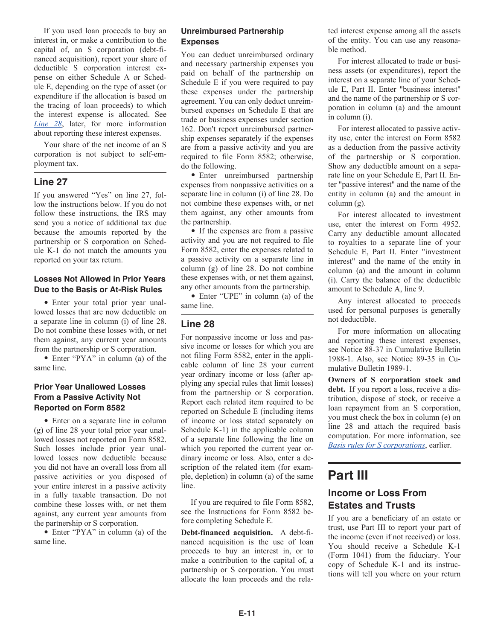If you used loan proceeds to buy an interest in, or make a contribution to the capital of, an S corporation (debt-financed acquisition), report your share of deductible S corporation interest expense on either Schedule A or Schedule E, depending on the type of asset (or expenditure if the allocation is based on the tracing of loan proceeds) to which the interest expense is allocated. See *Line 28*, later, for more information about reporting these interest expenses.

Your share of the net income of an S corporation is not subject to self-employment tax.

#### **Line 27**

If you answered "Yes" on line 27, follow the instructions below. If you do not follow these instructions, the IRS may send you a notice of additional tax due because the amounts reported by the partnership or S corporation on Schedule K-1 do not match the amounts you reported on your tax return.

#### **Losses Not Allowed in Prior Years Due to the Basis or At-Risk Rules**

• Enter your total prior year unallowed losses that are now deductible on a separate line in column (i) of line 28. Do not combine these losses with, or net them against, any current year amounts from the partnership or S corporation.

• Enter "PYA" in column (a) of the same line.

#### **Prior Year Unallowed Losses From a Passive Activity Not Reported on Form 8582**

• Enter on a separate line in column (g) of line 28 your total prior year unallowed losses not reported on Form 8582. Such losses include prior year unallowed losses now deductible because you did not have an overall loss from all passive activities or you disposed of your entire interest in a passive activity in a fully taxable transaction. Do not combine these losses with, or net them against, any current year amounts from the partnership or S corporation.

• Enter "PYA" in column (a) of the same line.

#### **Unreimbursed Partnership Expenses**

You can deduct unreimbursed ordinary and necessary partnership expenses you paid on behalf of the partnership on Schedule E if you were required to pay these expenses under the partnership agreement. You can only deduct unreimbursed expenses on Schedule E that are trade or business expenses under section 162. Don't report unreimbursed partnership expenses separately if the expenses are from a passive activity and you are required to file Form 8582; otherwise, do the following.

• Enter unreimbursed partnership expenses from nonpassive activities on a separate line in column (i) of line 28. Do not combine these expenses with, or net them against, any other amounts from the partnership.

• If the expenses are from a passive activity and you are not required to file Form 8582, enter the expenses related to a passive activity on a separate line in column (g) of line 28. Do not combine these expenses with, or net them against, any other amounts from the partnership.

• Enter "UPE" in column (a) of the same line.

### **Line 28**

For nonpassive income or loss and passive income or losses for which you are not filing Form 8582, enter in the applicable column of line 28 your current year ordinary income or loss (after applying any special rules that limit losses) from the partnership or S corporation. Report each related item required to be reported on Schedule E (including items of income or loss stated separately on Schedule K-1) in the applicable column of a separate line following the line on which you reported the current year ordinary income or loss. Also, enter a description of the related item (for example, depletion) in column (a) of the same line.

If you are required to file Form 8582, see the Instructions for Form 8582 before completing Schedule E.

**Debt-financed acquisition.** A debt-financed acquisition is the use of loan proceeds to buy an interest in, or to make a contribution to the capital of, a partnership or S corporation. You must allocate the loan proceeds and the related interest expense among all the assets of the entity. You can use any reasonable method.

For interest allocated to trade or business assets (or expenditures), report the interest on a separate line of your Schedule E, Part II. Enter "business interest" and the name of the partnership or S corporation in column (a) and the amount in column (i).

For interest allocated to passive activity use, enter the interest on Form 8582 as a deduction from the passive activity of the partnership or S corporation. Show any deductible amount on a separate line on your Schedule E, Part II. Enter "passive interest" and the name of the entity in column (a) and the amount in column (g).

For interest allocated to investment use, enter the interest on Form 4952. Carry any deductible amount allocated to royalties to a separate line of your Schedule E, Part II. Enter "investment interest" and the name of the entity in column (a) and the amount in column (i). Carry the balance of the deductible amount to Schedule A, line 9.

Any interest allocated to proceeds used for personal purposes is generally not deductible.

For more information on allocating and reporting these interest expenses, see Notice 88-37 in Cumulative Bulletin 1988-1. Also, see Notice 89-35 in Cumulative Bulletin 1989-1.

**Owners of S corporation stock and debt.** If you report a loss, receive a distribution, dispose of stock, or receive a loan repayment from an S corporation, you must check the box in column (e) on line 28 and attach the required basis computation. For more information, see *Basis rules for S corporations*, earlier.

# **Part III Income or Loss From**

# **Estates and Trusts**

If you are a beneficiary of an estate or trust, use Part III to report your part of the income (even if not received) or loss. You should receive a Schedule K-1 (Form 1041) from the fiduciary. Your copy of Schedule K-1 and its instructions will tell you where on your return